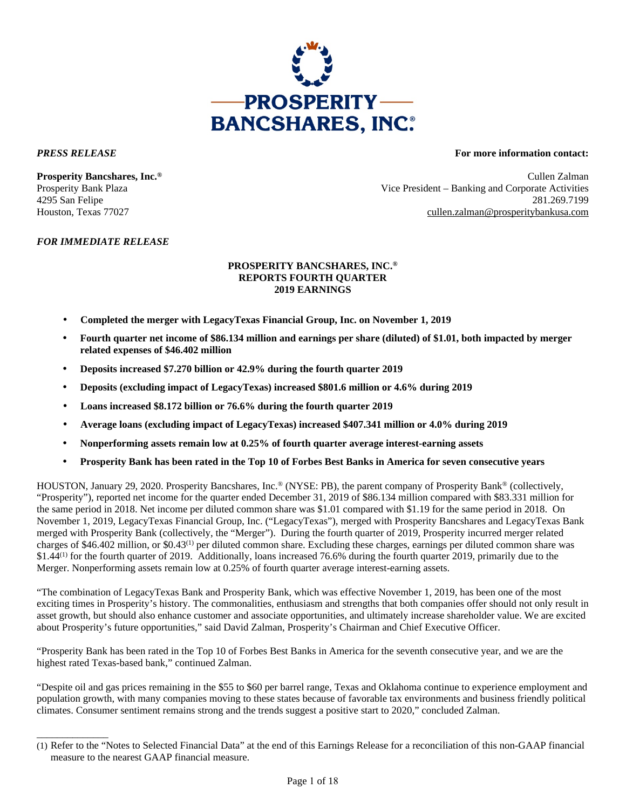

\_\_\_\_\_\_\_\_\_\_\_\_\_\_

### *PRESS RELEASE* **For more information contact:**

**Prosperity Bancshares, Inc.®** Cullen Zalman Prosperity Bank Plaza Vice President – Banking and Corporate Activities 4295 San Felipe 281.269.7199 Houston, Texas 77027 cullen.zalman@prosperitybankusa.com

## *FOR IMMEDIATE RELEASE*

### **PROSPERITY BANCSHARES, INC.® REPORTS FOURTH QUARTER 2019 EARNINGS**

- **Completed the merger with LegacyTexas Financial Group, Inc. on November 1, 2019**
- **Fourth quarter net income of \$86.134 million and earnings per share (diluted) of \$1.01, both impacted by merger related expenses of \$46.402 million**
- **Deposits increased \$7.270 billion or 42.9% during the fourth quarter 2019**
- **Deposits (excluding impact of LegacyTexas) increased \$801.6 million or 4.6% during 2019**
- **Loans increased \$8.172 billion or 76.6% during the fourth quarter 2019**
- **Average loans (excluding impact of LegacyTexas) increased \$407.341 million or 4.0% during 2019**
- **Nonperforming assets remain low at 0.25% of fourth quarter average interest-earning assets**
- **Prosperity Bank has been rated in the Top 10 of Forbes Best Banks in America for seven consecutive years**

HOUSTON, January 29, 2020. Prosperity Bancshares, Inc.® (NYSE: PB), the parent company of Prosperity Bank® (collectively, "Prosperity"), reported net income for the quarter ended December 31, 2019 of \$86.134 million compared with \$83.331 million for the same period in 2018. Net income per diluted common share was \$1.01 compared with \$1.19 for the same period in 2018. On November 1, 2019, LegacyTexas Financial Group, Inc. ("LegacyTexas"), merged with Prosperity Bancshares and LegacyTexas Bank merged with Prosperity Bank (collectively, the "Merger"). During the fourth quarter of 2019, Prosperity incurred merger related charges of \$46.402 million, or \$0.43(1) per diluted common share. Excluding these charges, earnings per diluted common share was \$1.44<sup>(1)</sup> for the fourth quarter of 2019. Additionally, loans increased 76.6% during the fourth quarter 2019, primarily due to the Merger. Nonperforming assets remain low at 0.25% of fourth quarter average interest-earning assets.

"The combination of LegacyTexas Bank and Prosperity Bank, which was effective November 1, 2019, has been one of the most exciting times in Prosperity's history. The commonalities, enthusiasm and strengths that both companies offer should not only result in asset growth, but should also enhance customer and associate opportunities, and ultimately increase shareholder value. We are excited about Prosperity's future opportunities," said David Zalman, Prosperity's Chairman and Chief Executive Officer.

"Prosperity Bank has been rated in the Top 10 of Forbes Best Banks in America for the seventh consecutive year, and we are the highest rated Texas-based bank," continued Zalman.

"Despite oil and gas prices remaining in the \$55 to \$60 per barrel range, Texas and Oklahoma continue to experience employment and population growth, with many companies moving to these states because of favorable tax environments and business friendly political climates. Consumer sentiment remains strong and the trends suggest a positive start to 2020," concluded Zalman.

<sup>(1)</sup> Refer to the "Notes to Selected Financial Data" at the end of this Earnings Release for a reconciliation of this non-GAAP financial measure to the nearest GAAP financial measure.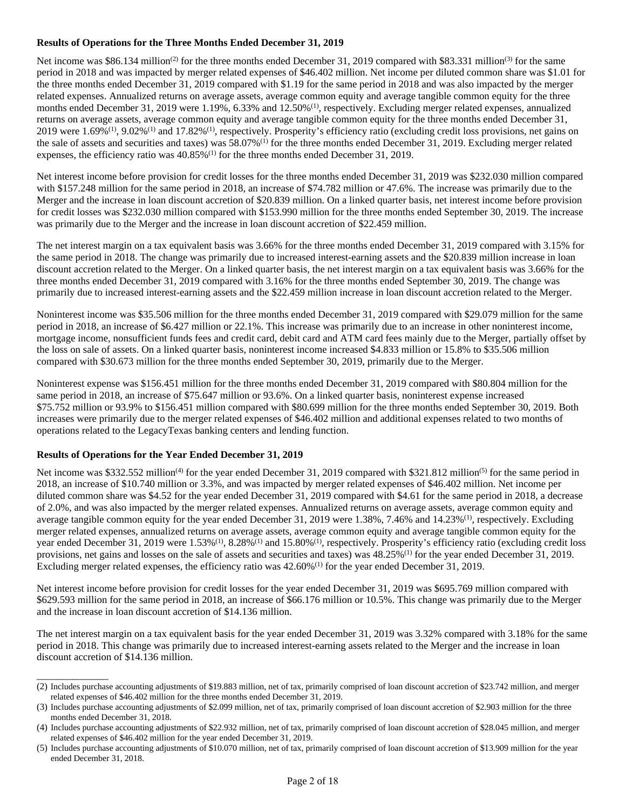## **Results of Operations for the Three Months Ended December 31, 2019**

Net income was \$86.134 million<sup>(2)</sup> for the three months ended December 31, 2019 compared with \$83.331 million<sup>(3)</sup> for the same period in 2018 and was impacted by merger related expenses of \$46.402 million. Net income per diluted common share was \$1.01 for the three months ended December 31, 2019 compared with \$1.19 for the same period in 2018 and was also impacted by the merger related expenses. Annualized returns on average assets, average common equity and average tangible common equity for the three months ended December 31, 2019 were 1.19%, 6.33% and 12.50%<sup>(1)</sup>, respectively. Excluding merger related expenses, annualized returns on average assets, average common equity and average tangible common equity for the three months ended December 31, 2019 were  $1.69\%^{(1)}$ , 9.02% $^{(1)}$  and 17.82% $^{(1)}$ , respectively. Prosperity's efficiency ratio (excluding credit loss provisions, net gains on the sale of assets and securities and taxes) was 58.07%<sup>(1)</sup> for the three months ended December 31, 2019. Excluding merger related expenses, the efficiency ratio was  $40.85\%$ <sup>(1)</sup> for the three months ended December 31, 2019.

Net interest income before provision for credit losses for the three months ended December 31, 2019 was \$232.030 million compared with \$157.248 million for the same period in 2018, an increase of \$74.782 million or 47.6%. The increase was primarily due to the Merger and the increase in loan discount accretion of \$20.839 million. On a linked quarter basis, net interest income before provision for credit losses was \$232.030 million compared with \$153.990 million for the three months ended September 30, 2019. The increase was primarily due to the Merger and the increase in loan discount accretion of \$22.459 million.

The net interest margin on a tax equivalent basis was 3.66% for the three months ended December 31, 2019 compared with 3.15% for the same period in 2018. The change was primarily due to increased interest-earning assets and the \$20.839 million increase in loan discount accretion related to the Merger. On a linked quarter basis, the net interest margin on a tax equivalent basis was 3.66% for the three months ended December 31, 2019 compared with 3.16% for the three months ended September 30, 2019. The change was primarily due to increased interest-earning assets and the \$22.459 million increase in loan discount accretion related to the Merger.

Noninterest income was \$35.506 million for the three months ended December 31, 2019 compared with \$29.079 million for the same period in 2018, an increase of \$6.427 million or 22.1%. This increase was primarily due to an increase in other noninterest income, mortgage income, nonsufficient funds fees and credit card, debit card and ATM card fees mainly due to the Merger, partially offset by the loss on sale of assets. On a linked quarter basis, noninterest income increased \$4.833 million or 15.8% to \$35.506 million compared with \$30.673 million for the three months ended September 30, 2019, primarily due to the Merger.

Noninterest expense was \$156.451 million for the three months ended December 31, 2019 compared with \$80.804 million for the same period in 2018, an increase of \$75.647 million or 93.6%. On a linked quarter basis, noninterest expense increased \$75.752 million or 93.9% to \$156.451 million compared with \$80.699 million for the three months ended September 30, 2019. Both increases were primarily due to the merger related expenses of \$46.402 million and additional expenses related to two months of operations related to the LegacyTexas banking centers and lending function.

### **Results of Operations for the Year Ended December 31, 2019**

\_\_\_\_\_\_\_\_\_\_\_\_\_\_

Net income was \$332.552 million<sup>(4)</sup> for the year ended December 31, 2019 compared with \$321.812 million<sup>(5)</sup> for the same period in 2018, an increase of \$10.740 million or 3.3%, and was impacted by merger related expenses of \$46.402 million. Net income per diluted common share was \$4.52 for the year ended December 31, 2019 compared with \$4.61 for the same period in 2018, a decrease of 2.0%, and was also impacted by the merger related expenses. Annualized returns on average assets, average common equity and average tangible common equity for the year ended December 31, 2019 were 1.38%, 7.46% and 14.23%(1), respectively. Excluding merger related expenses, annualized returns on average assets, average common equity and average tangible common equity for the year ended December 31, 2019 were 1.53%<sup>(1)</sup>, 8.28%<sup>(1)</sup> and 15.80%<sup>(1)</sup>, respectively. Prosperity's efficiency ratio (excluding credit loss provisions, net gains and losses on the sale of assets and securities and taxes) was 48.25%(1) for the year ended December 31, 2019. Excluding merger related expenses, the efficiency ratio was 42.60%(1) for the year ended December 31, 2019.

Net interest income before provision for credit losses for the year ended December 31, 2019 was \$695.769 million compared with \$629.593 million for the same period in 2018, an increase of \$66.176 million or 10.5%. This change was primarily due to the Merger and the increase in loan discount accretion of \$14.136 million.

The net interest margin on a tax equivalent basis for the year ended December 31, 2019 was 3.32% compared with 3.18% for the same period in 2018. This change was primarily due to increased interest-earning assets related to the Merger and the increase in loan discount accretion of \$14.136 million.

<sup>(2)</sup> Includes purchase accounting adjustments of \$19.883 million, net of tax, primarily comprised of loan discount accretion of \$23.742 million, and merger related expenses of \$46.402 million for the three months ended December 31, 2019.

<sup>(3)</sup> Includes purchase accounting adjustments of \$2.099 million, net of tax, primarily comprised of loan discount accretion of \$2.903 million for the three months ended December 31, 2018.

<sup>(4)</sup> Includes purchase accounting adjustments of \$22.932 million, net of tax, primarily comprised of loan discount accretion of \$28.045 million, and merger related expenses of \$46.402 million for the year ended December 31, 2019.

<sup>(5)</sup> Includes purchase accounting adjustments of \$10.070 million, net of tax, primarily comprised of loan discount accretion of \$13.909 million for the year ended December 31, 2018.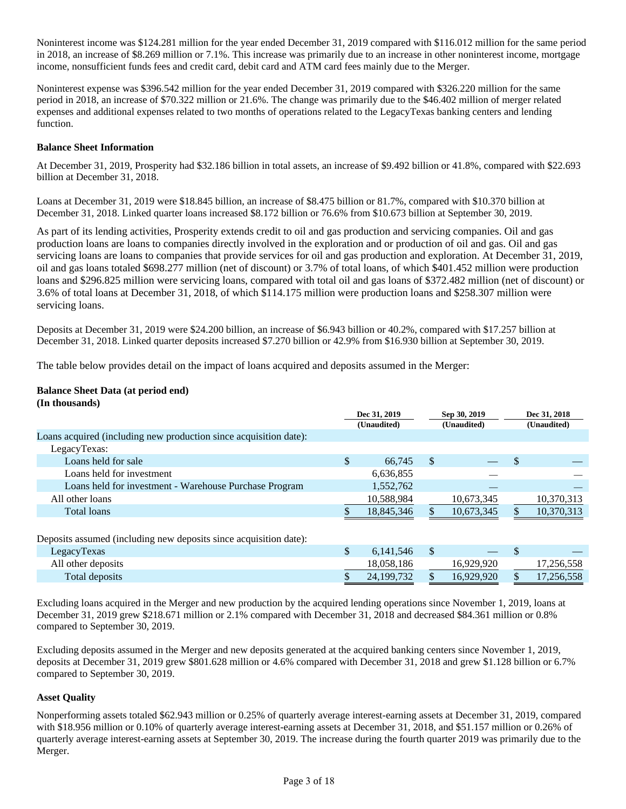Noninterest income was \$124.281 million for the year ended December 31, 2019 compared with \$116.012 million for the same period in 2018, an increase of \$8.269 million or 7.1%. This increase was primarily due to an increase in other noninterest income, mortgage income, nonsufficient funds fees and credit card, debit card and ATM card fees mainly due to the Merger.

Noninterest expense was \$396.542 million for the year ended December 31, 2019 compared with \$326.220 million for the same period in 2018, an increase of \$70.322 million or 21.6%. The change was primarily due to the \$46.402 million of merger related expenses and additional expenses related to two months of operations related to the LegacyTexas banking centers and lending function.

### **Balance Sheet Information**

At December 31, 2019, Prosperity had \$32.186 billion in total assets, an increase of \$9.492 billion or 41.8%, compared with \$22.693 billion at December 31, 2018.

Loans at December 31, 2019 were \$18.845 billion, an increase of \$8.475 billion or 81.7%, compared with \$10.370 billion at December 31, 2018. Linked quarter loans increased \$8.172 billion or 76.6% from \$10.673 billion at September 30, 2019.

As part of its lending activities, Prosperity extends credit to oil and gas production and servicing companies. Oil and gas production loans are loans to companies directly involved in the exploration and or production of oil and gas. Oil and gas servicing loans are loans to companies that provide services for oil and gas production and exploration. At December 31, 2019, oil and gas loans totaled \$698.277 million (net of discount) or 3.7% of total loans, of which \$401.452 million were production loans and \$296.825 million were servicing loans, compared with total oil and gas loans of \$372.482 million (net of discount) or 3.6% of total loans at December 31, 2018, of which \$114.175 million were production loans and \$258.307 million were servicing loans.

Deposits at December 31, 2019 were \$24.200 billion, an increase of \$6.943 billion or 40.2%, compared with \$17.257 billion at December 31, 2018. Linked quarter deposits increased \$7.270 billion or 42.9% from \$16.930 billion at September 30, 2019.

The table below provides detail on the impact of loans acquired and deposits assumed in the Merger:

### **Balance Sheet Data (at period end) (In thousands)**

| (III GRUGBRIG)                                                    |                 |             |              |     |              |
|-------------------------------------------------------------------|-----------------|-------------|--------------|-----|--------------|
|                                                                   | Dec 31, 2019    |             | Sep 30, 2019 |     | Dec 31, 2018 |
|                                                                   | (Unaudited)     | (Unaudited) |              |     | (Unaudited)  |
| Loans acquired (including new production since acquisition date): |                 |             |              |     |              |
| LegacyTexas:                                                      |                 |             |              |     |              |
| Loans held for sale                                               | \$<br>66,745    | S           |              | S   |              |
| Loans held for investment                                         | 6,636,855       |             |              |     |              |
| Loans held for investment - Warehouse Purchase Program            | 1,552,762       |             |              |     |              |
| All other loans                                                   | 10,588,984      |             | 10,673,345   |     | 10,370,313   |
| Total loans                                                       | 18,845,346      |             | 10,673,345   |     | 10,370,313   |
|                                                                   |                 |             |              |     |              |
| Deposits assumed (including new deposits since acquisition date): |                 |             |              |     |              |
| LegacyTexas                                                       | \$<br>6,141,546 | S           |              | \$. |              |
| All other deposits                                                | 18,058,186      |             | 16,929,920   |     | 17,256,558   |
| Total deposits                                                    | 24,199,732      |             | 16,929,920   |     | 17,256,558   |
|                                                                   |                 |             |              |     |              |

Excluding loans acquired in the Merger and new production by the acquired lending operations since November 1, 2019, loans at December 31, 2019 grew \$218.671 million or 2.1% compared with December 31, 2018 and decreased \$84.361 million or 0.8% compared to September 30, 2019.

Excluding deposits assumed in the Merger and new deposits generated at the acquired banking centers since November 1, 2019, deposits at December 31, 2019 grew \$801.628 million or 4.6% compared with December 31, 2018 and grew \$1.128 billion or 6.7% compared to September 30, 2019.

### **Asset Quality**

Nonperforming assets totaled \$62.943 million or 0.25% of quarterly average interest-earning assets at December 31, 2019, compared with \$18.956 million or 0.10% of quarterly average interest-earning assets at December 31, 2018, and \$51.157 million or 0.26% of quarterly average interest-earning assets at September 30, 2019. The increase during the fourth quarter 2019 was primarily due to the Merger.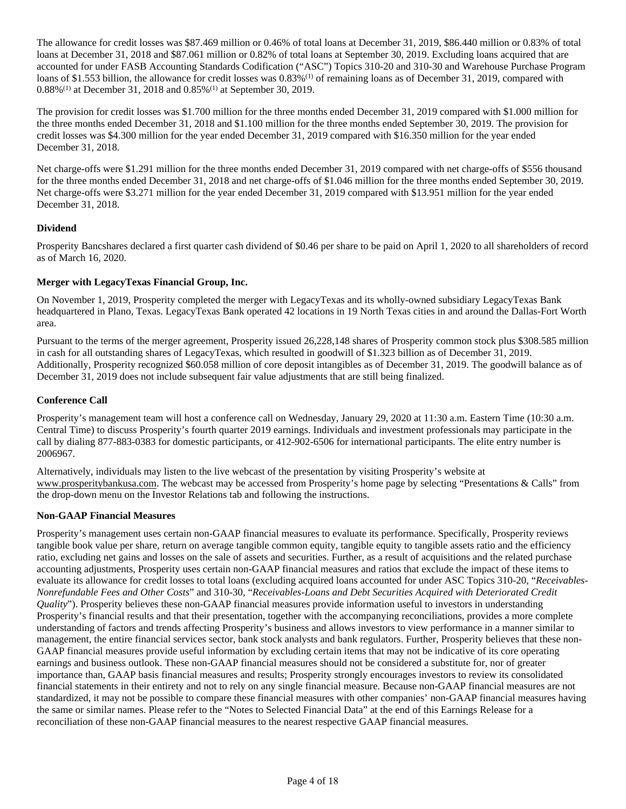The allowance for credit losses was \$87.469 million or 0.46% of total loans at December 31, 2019, \$86.440 million or 0.83% of total loans at December 31, 2018 and \$87.061 million or 0.82% of total loans at September 30, 2019. Excluding loans acquired that are accounted for under FASB Accounting Standards Codification ("ASC") Topics 310-20 and 310-30 and Warehouse Purchase Program loans of \$1.553 billion, the allowance for credit losses was 0.83%<sup>(1)</sup> of remaining loans as of December 31, 2019, compared with 0.88%(1) at December 31, 2018 and 0.85%(1) at September 30, 2019.

The provision for credit losses was \$1.700 million for the three months ended December 31, 2019 compared with \$1.000 million for the three months ended December 31, 2018 and \$1.100 million for the three months ended September 30, 2019. The provision for credit losses was \$4.300 million for the year ended December 31, 2019 compared with \$16.350 million for the year ended December 31, 2018.

Net charge-offs were \$1.291 million for the three months ended December 31, 2019 compared with net charge-offs of \$556 thousand for the three months ended December 31, 2018 and net charge-offs of \$1.046 million for the three months ended September 30, 2019. Net charge-offs were \$3.271 million for the year ended December 31, 2019 compared with \$13.951 million for the year ended December 31, 2018.

## **Dividend**

Prosperity Bancshares declared a first quarter cash dividend of \$0.46 per share to be paid on April 1, 2020 to all shareholders of record as of March 16, 2020.

### **Merger with LegacyTexas Financial Group, Inc.**

On November 1, 2019, Prosperity completed the merger with LegacyTexas and its wholly-owned subsidiary LegacyTexas Bank headquartered in Plano, Texas. LegacyTexas Bank operated 42 locations in 19 North Texas cities in and around the Dallas-Fort Worth area.

Pursuant to the terms of the merger agreement, Prosperity issued 26,228,148 shares of Prosperity common stock plus \$308.585 million in cash for all outstanding shares of LegacyTexas, which resulted in goodwill of \$1.323 billion as of December 31, 2019. Additionally, Prosperity recognized \$60.058 million of core deposit intangibles as of December 31, 2019. The goodwill balance as of December 31, 2019 does not include subsequent fair value adjustments that are still being finalized.

### **Conference Call**

Prosperity's management team will host a conference call on Wednesday, January 29, 2020 at 11:30 a.m. Eastern Time (10:30 a.m. Central Time) to discuss Prosperity's fourth quarter 2019 earnings. Individuals and investment professionals may participate in the call by dialing 877-883-0383 for domestic participants, or 412-902-6506 for international participants. The elite entry number is 2006967.

Alternatively, individuals may listen to the live webcast of the presentation by visiting Prosperity's website at www.prosperitybankusa.com. The webcast may be accessed from Prosperity's home page by selecting "Presentations & Calls" from the drop-down menu on the Investor Relations tab and following the instructions.

### **Non-GAAP Financial Measures**

Prosperity's management uses certain non-GAAP financial measures to evaluate its performance. Specifically, Prosperity reviews tangible book value per share, return on average tangible common equity, tangible equity to tangible assets ratio and the efficiency ratio, excluding net gains and losses on the sale of assets and securities. Further, as a result of acquisitions and the related purchase accounting adjustments, Prosperity uses certain non-GAAP financial measures and ratios that exclude the impact of these items to evaluate its allowance for credit losses to total loans (excluding acquired loans accounted for under ASC Topics 310-20, "*Receivables-Nonrefundable Fees and Other Costs*" and 310-30, "*Receivables-Loans and Debt Securities Acquired with Deteriorated Credit Quality*"). Prosperity believes these non-GAAP financial measures provide information useful to investors in understanding Prosperity's financial results and that their presentation, together with the accompanying reconciliations, provides a more complete understanding of factors and trends affecting Prosperity's business and allows investors to view performance in a manner similar to management, the entire financial services sector, bank stock analysts and bank regulators. Further, Prosperity believes that these non-GAAP financial measures provide useful information by excluding certain items that may not be indicative of its core operating earnings and business outlook. These non-GAAP financial measures should not be considered a substitute for, nor of greater importance than, GAAP basis financial measures and results; Prosperity strongly encourages investors to review its consolidated financial statements in their entirety and not to rely on any single financial measure. Because non-GAAP financial measures are not standardized, it may not be possible to compare these financial measures with other companies' non-GAAP financial measures having the same or similar names. Please refer to the "Notes to Selected Financial Data" at the end of this Earnings Release for a reconciliation of these non-GAAP financial measures to the nearest respective GAAP financial measures.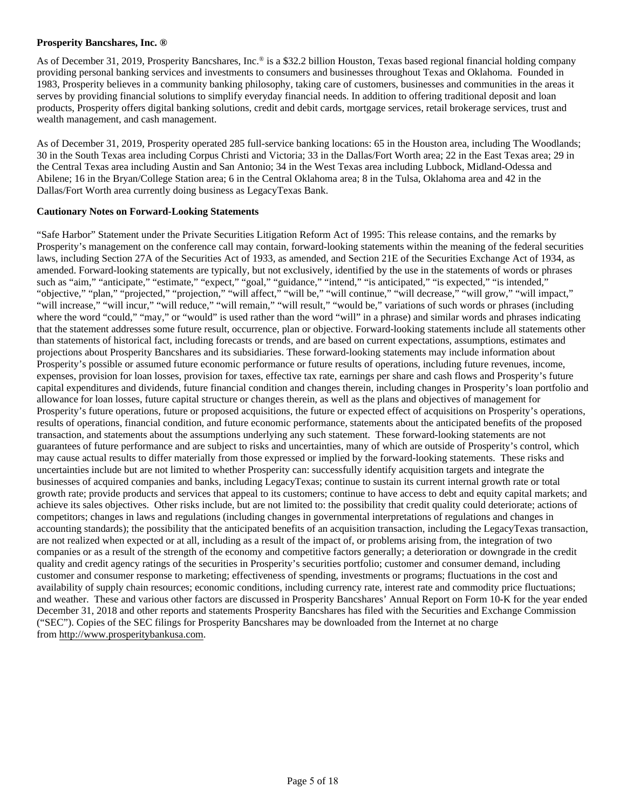### **Prosperity Bancshares, Inc. ®**

As of December 31, 2019, Prosperity Bancshares, Inc.® is a \$32.2 billion Houston, Texas based regional financial holding company providing personal banking services and investments to consumers and businesses throughout Texas and Oklahoma. Founded in 1983, Prosperity believes in a community banking philosophy, taking care of customers, businesses and communities in the areas it serves by providing financial solutions to simplify everyday financial needs. In addition to offering traditional deposit and loan products, Prosperity offers digital banking solutions, credit and debit cards, mortgage services, retail brokerage services, trust and wealth management, and cash management.

As of December 31, 2019, Prosperity operated 285 full-service banking locations: 65 in the Houston area, including The Woodlands; 30 in the South Texas area including Corpus Christi and Victoria; 33 in the Dallas/Fort Worth area; 22 in the East Texas area; 29 in the Central Texas area including Austin and San Antonio; 34 in the West Texas area including Lubbock, Midland-Odessa and Abilene; 16 in the Bryan/College Station area; 6 in the Central Oklahoma area; 8 in the Tulsa, Oklahoma area and 42 in the Dallas/Fort Worth area currently doing business as LegacyTexas Bank.

### **Cautionary Notes on Forward-Looking Statements**

"Safe Harbor" Statement under the Private Securities Litigation Reform Act of 1995: This release contains, and the remarks by Prosperity's management on the conference call may contain, forward-looking statements within the meaning of the federal securities laws, including Section 27A of the Securities Act of 1933, as amended, and Section 21E of the Securities Exchange Act of 1934, as amended. Forward-looking statements are typically, but not exclusively, identified by the use in the statements of words or phrases such as "aim," "anticipate," "estimate," "expect," "goal," "guidance," "intend," "is anticipated," "is expected," "is intended," "objective," "plan," "projected," "projection," "will affect," "will be," "will continue," "will decrease," "will grow," "will impact," "will increase," "will incur," "will reduce," "will remain," "will result," "would be," variations of such words or phrases (including where the word "could," "may," or "would" is used rather than the word "will" in a phrase) and similar words and phrases indicating that the statement addresses some future result, occurrence, plan or objective. Forward-looking statements include all statements other than statements of historical fact, including forecasts or trends, and are based on current expectations, assumptions, estimates and projections about Prosperity Bancshares and its subsidiaries. These forward-looking statements may include information about Prosperity's possible or assumed future economic performance or future results of operations, including future revenues, income, expenses, provision for loan losses, provision for taxes, effective tax rate, earnings per share and cash flows and Prosperity's future capital expenditures and dividends, future financial condition and changes therein, including changes in Prosperity's loan portfolio and allowance for loan losses, future capital structure or changes therein, as well as the plans and objectives of management for Prosperity's future operations, future or proposed acquisitions, the future or expected effect of acquisitions on Prosperity's operations, results of operations, financial condition, and future economic performance, statements about the anticipated benefits of the proposed transaction, and statements about the assumptions underlying any such statement. These forward-looking statements are not guarantees of future performance and are subject to risks and uncertainties, many of which are outside of Prosperity's control, which may cause actual results to differ materially from those expressed or implied by the forward-looking statements. These risks and uncertainties include but are not limited to whether Prosperity can: successfully identify acquisition targets and integrate the businesses of acquired companies and banks, including LegacyTexas; continue to sustain its current internal growth rate or total growth rate; provide products and services that appeal to its customers; continue to have access to debt and equity capital markets; and achieve its sales objectives. Other risks include, but are not limited to: the possibility that credit quality could deteriorate; actions of competitors; changes in laws and regulations (including changes in governmental interpretations of regulations and changes in accounting standards); the possibility that the anticipated benefits of an acquisition transaction, including the LegacyTexas transaction, are not realized when expected or at all, including as a result of the impact of, or problems arising from, the integration of two companies or as a result of the strength of the economy and competitive factors generally; a deterioration or downgrade in the credit quality and credit agency ratings of the securities in Prosperity's securities portfolio; customer and consumer demand, including customer and consumer response to marketing; effectiveness of spending, investments or programs; fluctuations in the cost and availability of supply chain resources; economic conditions, including currency rate, interest rate and commodity price fluctuations; and weather. These and various other factors are discussed in Prosperity Bancshares' Annual Report on Form 10-K for the year ended December 31, 2018 and other reports and statements Prosperity Bancshares has filed with the Securities and Exchange Commission ("SEC"). Copies of the SEC filings for Prosperity Bancshares may be downloaded from the Internet at no charge from http://www.prosperitybankusa.com.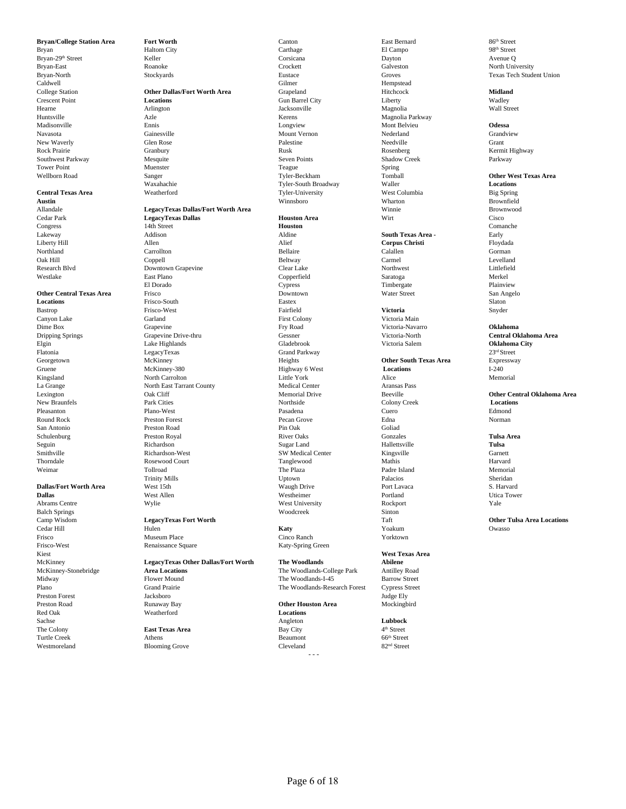**Bryan/College Station Area <b>Fort Worth** Canton Canton Canton Bast Bernard 86<sup>th</sup> Street Bryan Blues and Bast Bernard 86<sup>th</sup> Street Bryan Blues Blues and Blues Blues Blues and Street Blues Blues and Street Blues and Street

Frisco Museum Place Cinco Ranch Yorktown Preston Forest Sachse **Lubbock Lubbock Lubbock Angleton Lubbock Lubbock Lubbock Lubbock Lubbock Lubbock Lubbock** The Colony **East Texas Area East Texas Area** Bay City 4<sup>th</sup> Street 4<sup>th</sup> Street **Athens East Turtle Creek Athens Beaumont 66<sup>th</sup> Street** Turtle Creek Athens Athens Athens **Beaumont** 66<sup>th</sup> Street Westmoreland Blooming Grove Cleveland 82<sup>nd</sup> Street

### Allandale **LegacyTexas Dallas/Fort Worth Area** Winnie Winnie Brownwood<br>Cedar Park **LegacyTexas Dallas Morth Area Houston Area** Wirt With Cisco Cisco Cedar Park **LegacyTexas Dallas Houston Area** Wirt Cisco Congress 14th Street **Houston** Comanche Lakeway Addison Aldine **South Texas Area -** Early Liberty Hill Allen Alief **Corpus Christi** Floydada Northland Carrollton Carrollton Carrollton Bellaire Calallen Calallen Corman

Oak Hill Coppell Beltway Carmel Levelland Research Blvd Downtown Grapevine Clear Lake Northwest Littlefield Westlake East Plano Copperfield Saratoga Merkel El Dorado Cypress Timbergate Plainview **Other Central Texas Area** Frisco **Frisco Downtown** Downtown Water Street San Angelo<br> **Cocations** San Angelo<br>
Slaton Prisco-South Eastex **Locations** Frisco-South **Eastex** Eastex **Eastex** Eastex Slaton Bastrop **Frisco-West** Frisco-West **Fairfield** Fairfield **Victoria** Snyder Canyon Lake Garland First Colony Victoria Main Dime Box Grapevine Fry Road Victoria-Navarro **Oklahoma** Dripping Springs **Grapevine Drive-thru** Gessner Grapevine Central Oklahoma Area<br>
Grapevine Drive-thru Gessner Gladebrook Victoria Salem **Oklahoma City**<br>
Cladebrook Victoria Salem **Oklahoma City** Elgin Lake Highlands Gladebrook Victoria Salem **Oklahoma City** Flatonia LegacyTexas Grand Parkway 23rd Street Georgetown McKinney McKinney Heights **Other South Texas Area** Expressway Gruene McKinney-380 Highway 6 West **Constant Constant Constant Constant Constant Constant Constant Constant Constant Constant Constant Constant Const** Gruene **McKinney-380** McKinney-380 Highway 6 West **Locations Locations** I-240 Kingsland North Carrolton Little York Alice Memorial La Grange North East Tarrant County Medical Center Aransas Pass New Braunfels **Racing Park Cities Colony Creek** Locations Colony Creek Locations Pleasanton Plano-West Pasadena Cuero Edmond Round Rock Preston Forest Pecan Grove Edna Norman San Antonio Preston Road Pin Oak Goliad Schulenburg **Preston Royal River Oaks** River Oaks Gonzales **Gonzales Tulsa Area** Seguin Richardson Sugar Land Hallettsville **Tulsa** Smithville Suchardson-West SW Medical Center Kingsville Garnett Garnett Garnett Garnett Garnett (Garnett Garnett Garnett Garnett Garnett Garnett Garnett Garnett Garnett Garnett Garnett Garnett Garnett Garnett Garnett Garne Thorndale a Rosewood Court and Tanglewood Court Tanglewood Mathis Rarvard Harvard Weimar **The Plaza** Padre Island Memorial Memorial The Plaza Padre Island Memorial Memorial Trinity Mills Uptown Palacios Sheridan **Dallas/Fort Worth Area** West 15th Waugh Drive Port Lavaca S. Harvard S. Harvard West Allen West Allen West Allen West Portland Portland Dallas **Dallas West Allen** West Allen **West Allen** Westheimer **Portland** Portland Utica Tower Abrams Centre Wylie West University Rockport Yale Balch Springs Woodcreek Sinton Camp Wisdom **LegacyTexas Fort Worth Rational Computations Cedar Hill Cedar Hill Constant Computer Computer Cedar Hill Computer Computer Computer Cedar Hill Computer Computer Computer Computer Computer Computer Computer** Cedar Hill **Rulen Maty (Exception Automatic Properties)** And Maty Maty of Voakum Owasso

### Frisco-West Renaissance Square Katy-Spring Green Kiest **West Texas Area** McKinney **LegacyTexas Other Dallas/Fort Worth The Woodlands Abilene**

Midway Flower Mound The Woodlands-I-45 Barrow Street<br>Plano Straet Grand Prairie The Woodlands-Research Forest Cypress Street  ${\bf Grad {\bf } False}$  The Woodlands-Research Forest Cypress Street Jacksboro<br>Judge Ely Preston Road Runaway Bay **Other Houston Area** Mockingbird **Reatherford Locations** 

Bryan City Haltom City Carthage Carthage El Campo 98<sup>th</sup> Street Bryan-29th Street **Street** Keller Keller Corsicana Corsicana Dayton Bryan-29th Street Avenue Q Bryan-East North University Noanoke Crockett Galveston Galveston North University Bryan-North Stockyards Stockyards Eustace Groves Groves Texas Tech Student Union<br>Caldwell Gilmer Hempstead Hempstead Caldwell Gilmer Hempstead College Station **College Station Other Dallas/Fort Worth Area** Grapeland Grapeland Hitchcock **Midland**<br>
Crescent Point **Constant Constant Locations** Gun Barrel City **Constant Constant Constant Constant Constant Constant** Crescent Point **Locations Locations Locations Gun Barrel City Liberty Liberty Wadley** Hearne Arlington Jacksonville Magnolia Wall Street Huntsville Azle Azle Kerens Magnolia Parkway Madisonville Ennis Longview Mont Belvieu **Odessa** Navasota Gainesville Mount Vernon Nederland Grandview New Waverly **Solution Community Community Grant** Palestine Palestine Needville Needville Grant Rock Prairie Sammer Granbury (Granbury Rusk Rusk Rosenberg Rosenberg Kermit Highway Southwest Parkway Mesquite Muenster Seven Points Shadow Creek Parkway Parkway Mesquite Shadow Creek Parkway News<br>
Seven Point Spring Shadow Creek Parkway Nuenster Spring Shadow Creek Spring Shadow Creek Parkway Nuenster Sp Tower Point **Subset Constructed Construction** Muenster **Teague** Teague **Spring** Wellborn Road **Sanger** Sanger Sanger Tyler-Beckham Tomball The Texas Area<br> **Sanger** Watahachie Tyler-South Broadway Waller Waller **Locations** Waxahachie Tyler-South Broadway Waller **Locations Central Texas Area Weatherford** Weatherford Tyler-University West Columbia Big Spring **Austin** Winnsboro Wharton Brownfield

McKinney-Stonebridge **Area Locations** The Woodlands-College Park Antilley Road

- - -

4<sup>th</sup> Street

Lexington **Oak Cliff** Oak Cliff Memorial Drive Beeville **Color Creek Other Central Oklahoma Area**<br>
Northside Colony Creek **Locations Locations**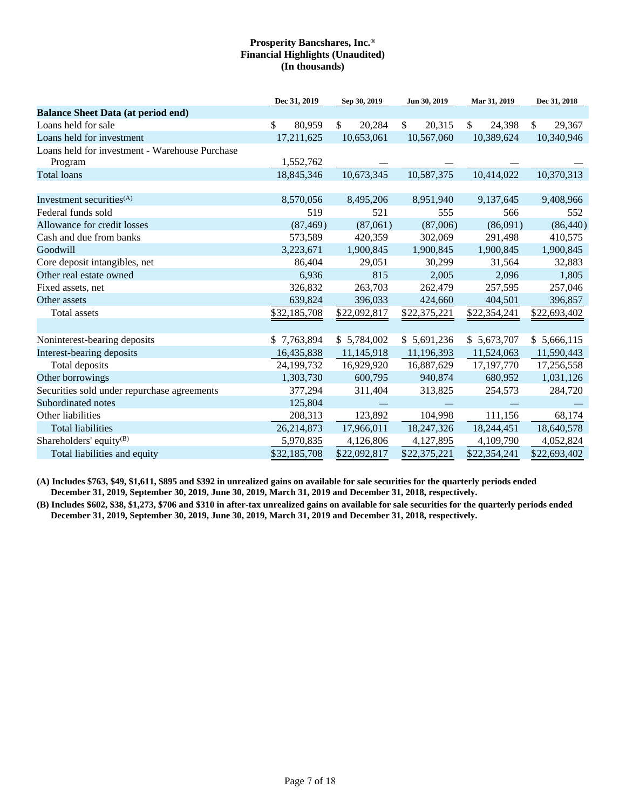|                                                | Dec 31, 2019 | Sep 30, 2019 | Jun 30, 2019 | Mar 31, 2019 | Dec 31, 2018 |
|------------------------------------------------|--------------|--------------|--------------|--------------|--------------|
| <b>Balance Sheet Data (at period end)</b>      |              |              |              |              |              |
| Loans held for sale                            | \$<br>80,959 | \$<br>20,284 | \$<br>20,315 | \$<br>24,398 | \$<br>29,367 |
| Loans held for investment                      | 17,211,625   | 10,653,061   | 10,567,060   | 10,389,624   | 10,340,946   |
| Loans held for investment - Warehouse Purchase |              |              |              |              |              |
| Program                                        | 1,552,762    |              |              |              |              |
| <b>Total loans</b>                             | 18,845,346   | 10,673,345   | 10,587,375   | 10,414,022   | 10,370,313   |
|                                                |              |              |              |              |              |
| Investment securities $(A)$                    | 8,570,056    | 8,495,206    | 8,951,940    | 9,137,645    | 9,408,966    |
| Federal funds sold                             | 519          | 521          | 555          | 566          | 552          |
| Allowance for credit losses                    | (87, 469)    | (87,061)     | (87,006)     | (86,091)     | (86, 440)    |
| Cash and due from banks                        | 573,589      | 420,359      | 302,069      | 291,498      | 410,575      |
| Goodwill                                       | 3,223,671    | 1,900,845    | 1,900,845    | 1,900,845    | 1,900,845    |
| Core deposit intangibles, net                  | 86,404       | 29,051       | 30,299       | 31,564       | 32,883       |
| Other real estate owned                        | 6,936        | 815          | 2,005        | 2,096        | 1,805        |
| Fixed assets, net                              | 326,832      | 263,703      | 262,479      | 257,595      | 257,046      |
| Other assets                                   | 639,824      | 396,033      | 424,660      | 404,501      | 396,857      |
| Total assets                                   | \$32,185,708 | \$22,092,817 | \$22,375,221 | \$22,354,241 | \$22,693,402 |
|                                                |              |              |              |              |              |
| Noninterest-bearing deposits                   | \$7,763,894  | \$5,784,002  | \$5,691,236  | \$5,673,707  | \$5,666,115  |
| Interest-bearing deposits                      | 16,435,838   | 11,145,918   | 11,196,393   | 11,524,063   | 11,590,443   |
| Total deposits                                 | 24,199,732   | 16,929,920   | 16,887,629   | 17,197,770   | 17,256,558   |
| Other borrowings                               | 1,303,730    | 600,795      | 940,874      | 680,952      | 1,031,126    |
| Securities sold under repurchase agreements    | 377,294      | 311,404      | 313,825      | 254,573      | 284,720      |
| Subordinated notes                             | 125,804      |              |              |              |              |
| Other liabilities                              | 208,313      | 123,892      | 104,998      | 111,156      | 68,174       |
| <b>Total liabilities</b>                       | 26,214,873   | 17,966,011   | 18,247,326   | 18,244,451   | 18,640,578   |
| Shareholders' equity <sup>(B)</sup>            | 5,970,835    | 4,126,806    | 4,127,895    | 4,109,790    | 4,052,824    |
| Total liabilities and equity                   | \$32,185,708 | \$22,092,817 | \$22,375,221 | \$22,354,241 | \$22,693,402 |

**(A) Includes \$763, \$49, \$1,611, \$895 and \$392 in unrealized gains on available for sale securities for the quarterly periods ended December 31, 2019, September 30, 2019, June 30, 2019, March 31, 2019 and December 31, 2018, respectively.**

**(B) Includes \$602, \$38, \$1,273, \$706 and \$310 in after-tax unrealized gains on available for sale securities for the quarterly periods ended December 31, 2019, September 30, 2019, June 30, 2019, March 31, 2019 and December 31, 2018, respectively.**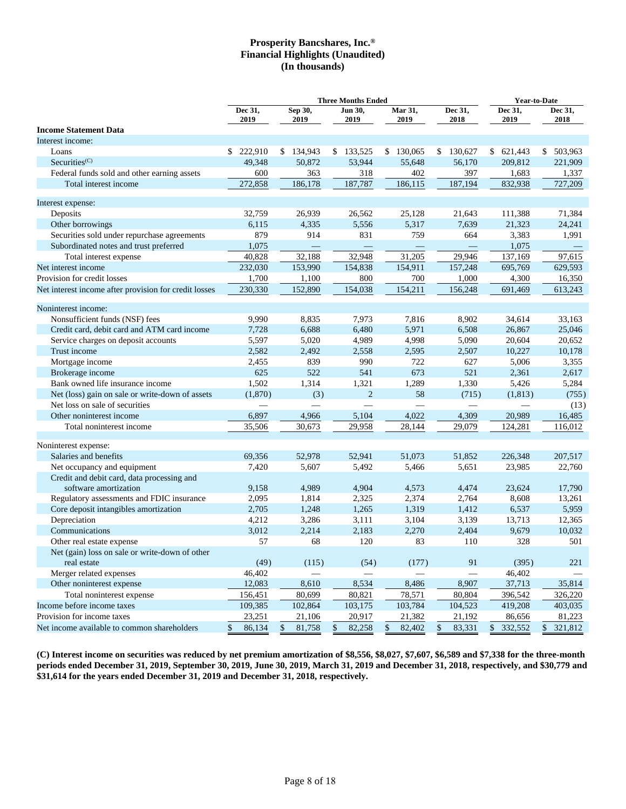|                                                                     |                  | <b>Three Months Ended</b> |                   | <b>Year-to-Date</b> |                          |                 |                                 |
|---------------------------------------------------------------------|------------------|---------------------------|-------------------|---------------------|--------------------------|-----------------|---------------------------------|
|                                                                     | Dec 31,<br>2019  | Sep 30,<br>2019           | Jun 30,<br>2019   | Mar 31,<br>2019     | Dec 31,<br>2018          | Dec 31,<br>2019 | Dec 31,<br>2018                 |
| <b>Income Statement Data</b>                                        |                  |                           |                   |                     |                          |                 |                                 |
| Interest income:                                                    |                  |                           |                   |                     |                          |                 |                                 |
| Loans                                                               | \$222,910        | \$134,943                 | \$133,525         | \$130,065           | \$130,627                | \$621,443       | \$503,963                       |
| Securities <sup>(C)</sup>                                           | 49,348           | 50,872                    | 53,944            | 55,648              | 56,170                   | 209,812         | 221,909                         |
| Federal funds sold and other earning assets                         | 600              | 363                       | 318               | 402                 | 397                      | 1,683           | 1,337                           |
| Total interest income                                               | 272,858          | 186,178                   | 187,787           | 186,115             | 187,194                  | 832,938         | 727,209                         |
| Interest expense:                                                   |                  |                           |                   |                     |                          |                 |                                 |
| Deposits                                                            | 32,759           | 26,939                    | 26,562            | 25,128              | 21,643                   | 111,388         | 71,384                          |
| Other borrowings                                                    | 6,115            | 4,335                     | 5,556             | 5,317               | 7,639                    | 21,323          | 24,241                          |
| Securities sold under repurchase agreements                         | 879              | 914                       | 831               | 759                 | 664                      | 3,383           | 1,991                           |
| Subordinated notes and trust preferred                              | 1,075            |                           | $\qquad \qquad -$ | $\qquad \qquad -$   |                          | 1,075           | $\hspace{0.1mm}-\hspace{0.1mm}$ |
|                                                                     | 40,828           | 32,188                    | 32,948            | 31,205              | 29,946                   | 137,169         | 97,615                          |
| Total interest expense                                              |                  |                           |                   |                     |                          |                 |                                 |
| Net interest income<br>Provision for credit losses                  | 232,030          | 153,990                   | 154,838           | 154,911             | 157,248                  | 695,769         | 629,593                         |
|                                                                     | 1,700<br>230,330 | 1,100<br>152,890          | 800               | 700                 | 1,000                    | 4,300           | 16,350                          |
| Net interest income after provision for credit losses               |                  |                           | 154,038           | 154,211             | 156,248                  | 691,469         | 613,243                         |
| Noninterest income:                                                 |                  |                           |                   |                     |                          |                 |                                 |
| Nonsufficient funds (NSF) fees                                      | 9,990            | 8,835                     | 7,973             | 7,816               | 8,902                    | 34.614          | 33.163                          |
| Credit card, debit card and ATM card income                         | 7,728            | 6,688                     | 6,480             | 5,971               | 6,508                    | 26,867          | 25,046                          |
| Service charges on deposit accounts                                 | 5,597            | 5,020                     | 4,989             | 4,998               | 5,090                    | 20,604          | 20,652                          |
| Trust income                                                        | 2,582            | 2,492                     | 2,558             | 2,595               | 2,507                    | 10,227          | 10,178                          |
| Mortgage income                                                     | 2,455            | 839                       | 990               | 722                 | 627                      | 5,006           | 3,355                           |
| Brokerage income                                                    | 625              | 522                       | 541               | 673                 | 521                      | 2,361           | 2,617                           |
| Bank owned life insurance income                                    | 1,502            | 1,314                     | 1,321             | 1,289               | 1,330                    | 5,426           | 5,284                           |
| Net (loss) gain on sale or write-down of assets                     | (1,870)          | (3)                       | $\overline{2}$    | 58                  | (715)                    | (1, 813)        | (755)                           |
| Net loss on sale of securities                                      |                  |                           |                   |                     | $\qquad \qquad$          |                 | (13)                            |
| Other noninterest income                                            | 6,897            | 4,966                     | 5,104             | 4,022               | 4,309                    | 20,989          | 16,485                          |
| Total noninterest income                                            | 35,506           | 30,673                    | 29,958            | 28,144              | 29,079                   | 124,281         | 116,012                         |
|                                                                     |                  |                           |                   |                     |                          |                 |                                 |
| Noninterest expense:                                                |                  |                           |                   |                     |                          |                 |                                 |
| Salaries and benefits                                               | 69,356           | 52,978                    | 52,941            | 51,073              | 51,852                   | 226,348         | 207,517                         |
| Net occupancy and equipment                                         | 7,420            | 5,607                     | 5,492             | 5,466               | 5,651                    | 23,985          | 22,760                          |
| Credit and debit card, data processing and<br>software amortization |                  |                           |                   |                     |                          |                 |                                 |
|                                                                     | 9,158            | 4,989                     | 4,904             | 4,573               | 4,474                    | 23,624          | 17,790                          |
| Regulatory assessments and FDIC insurance                           | 2,095            | 1,814                     | 2,325             | 2,374               | 2,764                    | 8,608           | 13,261                          |
| Core deposit intangibles amortization                               | 2,705            | 1,248                     | 1,265             | 1,319               | 1,412                    | 6,537           | 5,959                           |
| Depreciation                                                        | 4,212            | 3,286                     | 3,111             | 3,104               | 3,139                    | 13,713          | 12,365                          |
| Communications                                                      | 3,012<br>57      | 2,214                     | 2,183<br>120      | 2,270               | 2,404                    | 9,679<br>328    | 10,032<br>501                   |
| Other real estate expense                                           |                  | 68                        |                   | 83                  | 110                      |                 |                                 |
| Net (gain) loss on sale or write-down of other<br>real estate       | (49)             | (115)                     | (54)              | (177)               | 91                       | (395)           | 221                             |
| Merger related expenses                                             | 46,402           |                           |                   |                     | $\overline{\phantom{0}}$ | 46,402          |                                 |
| Other noninterest expense                                           | 12,083           | 8,610                     | 8,534             | 8,486               | 8,907                    | 37,713          | 35,814                          |
| Total noninterest expense                                           | 156,451          | 80,699                    | 80,821            | 78,571              | 80,804                   | 396,542         | 326,220                         |
| Income before income taxes                                          | 109,385          | 102,864                   | 103,175           | 103,784             | 104,523                  | 419,208         | 403,035                         |
| Provision for income taxes                                          | 23,251           | 21,106                    | 20,917            | 21,382              | 21,192                   | 86,656          | 81,223                          |
| Net income available to common shareholders                         | 86,134           | \$<br>81,758              | 82,258<br>\$      | \$<br>82,402        | 83,331<br>S              | 332,552<br>S    | 321,812                         |

**(C) Interest income on securities was reduced by net premium amortization of \$8,556, \$8,027, \$7,607, \$6,589 and \$7,338 for the three-month periods ended December 31, 2019, September 30, 2019, June 30, 2019, March 31, 2019 and December 31, 2018, respectively, and \$30,779 and \$31,614 for the years ended December 31, 2019 and December 31, 2018, respectively.**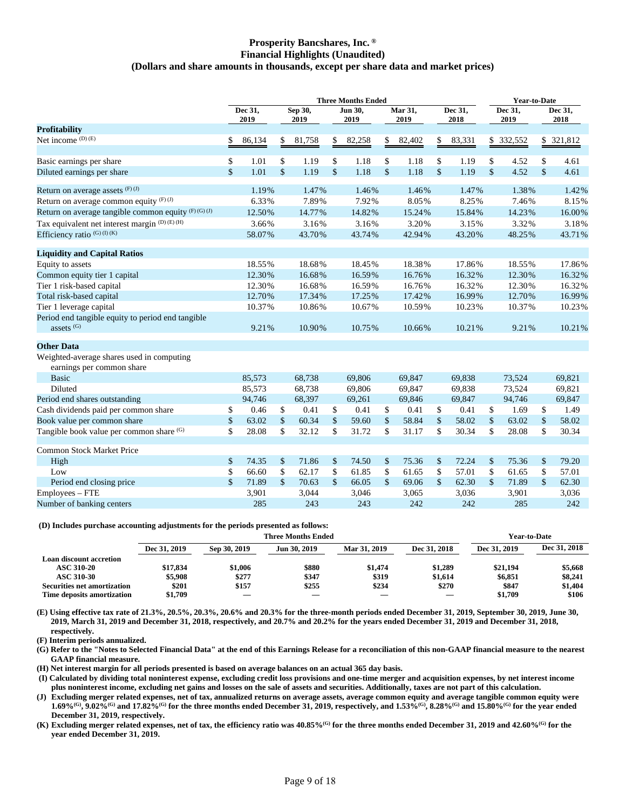### **Prosperity Bancshares, Inc. ® Financial Highlights (Unaudited) (Dollars and share amounts in thousands, except per share data and market prices)**

|                                                                        | <b>Three Months Ended</b> |                 |                      |                 |               |                 |                    |                 | <b>Year-to-Date</b> |                 |                 |            |                 |            |
|------------------------------------------------------------------------|---------------------------|-----------------|----------------------|-----------------|---------------|-----------------|--------------------|-----------------|---------------------|-----------------|-----------------|------------|-----------------|------------|
|                                                                        |                           | Dec 31,<br>2019 |                      | Sep 30,<br>2019 |               | Jun 30,<br>2019 |                    | Mar 31,<br>2019 |                     | Dec 31,<br>2018 | Dec 31,<br>2019 |            | Dec 31,<br>2018 |            |
| <b>Profitability</b>                                                   |                           |                 |                      |                 |               |                 |                    |                 |                     |                 |                 |            |                 |            |
| Net income $(D)$ $(E)$                                                 | S                         | 86,134          | \$                   | 81,758          | \$            | 82,258          | \$                 | 82,402          | \$                  | 83,331          |                 | \$ 332,552 |                 | \$ 321,812 |
| Basic earnings per share                                               | \$                        | 1.01            | \$                   | 1.19            | \$            | 1.18            | \$                 | 1.18            | \$                  | 1.19            | \$              | 4.52       | \$              | 4.61       |
| Diluted earnings per share                                             | $\mathbf{\hat{S}}$        | 1.01            | $\mathbf{\hat{S}}$   | 1.19            | \$            | 1.18            | $\mathsf{\$}$      | 1.18            | $\mathsf{\$}$       | 1.19            | $\mathsf{\$}$   | 4.52       | $\mathbb{S}$    | 4.61       |
| Return on average assets $(F)(J)$                                      |                           | 1.19%           |                      | 1.47%           |               | 1.46%           |                    | 1.46%           |                     | 1.47%           |                 | 1.38%      |                 | 1.42%      |
| Return on average common equity $(F)$ (J)                              |                           | 6.33%           |                      | 7.89%           |               | 7.92%           |                    | 8.05%           |                     | 8.25%           |                 | 7.46%      |                 | 8.15%      |
| Return on average tangible common equity (F) (G) (J)                   |                           | 12.50%          |                      | 14.77%          |               | 14.82%          |                    | 15.24%          |                     | 15.84%          |                 | 14.23%     |                 | 16.00%     |
| Tax equivalent net interest margin (D) (E) (H)                         |                           | 3.66%           |                      | 3.16%           |               | 3.16%           |                    | 3.20%           |                     | 3.15%           |                 | 3.32%      |                 | 3.18%      |
| Efficiency ratio $^{(G)(I)(K)}$                                        |                           | 58.07%          |                      | 43.70%          |               | 43.74%          |                    | 42.94%          |                     | 43.20%          |                 | 48.25%     |                 | 43.71%     |
| <b>Liquidity and Capital Ratios</b>                                    |                           |                 |                      |                 |               |                 |                    |                 |                     |                 |                 |            |                 |            |
| Equity to assets                                                       |                           | 18.55%          |                      | 18.68%          |               | 18.45%          |                    | 18.38%          |                     | 17.86%          |                 | 18.55%     |                 | 17.86%     |
| Common equity tier 1 capital                                           |                           | 12.30%          |                      | 16.68%          |               | 16.59%          |                    | 16.76%          |                     | 16.32%          |                 | 12.30%     |                 | 16.32%     |
| Tier 1 risk-based capital                                              |                           | 12.30%          |                      | 16.68%          |               | 16.59%          |                    | 16.76%          |                     | 16.32%          |                 | 12.30%     |                 | 16.32%     |
| Total risk-based capital                                               |                           | 12.70%          |                      | 17.34%          |               | 17.25%          |                    | 17.42%          |                     | 16.99%          |                 | 12.70%     |                 | 16.99%     |
| Tier 1 leverage capital                                                |                           | 10.37%          |                      | 10.86%          |               | 10.67%          |                    | 10.59%          |                     | 10.23%          |                 | 10.37%     |                 | 10.23%     |
| Period end tangible equity to period end tangible                      |                           |                 |                      |                 |               |                 |                    |                 |                     |                 |                 |            |                 |            |
| assets <sup>(G)</sup>                                                  |                           | 9.21%           |                      | 10.90%          |               | 10.75%          |                    | 10.66%          |                     | 10.21%          |                 | 9.21%      |                 | 10.21%     |
| <b>Other Data</b>                                                      |                           |                 |                      |                 |               |                 |                    |                 |                     |                 |                 |            |                 |            |
| Weighted-average shares used in computing<br>earnings per common share |                           |                 |                      |                 |               |                 |                    |                 |                     |                 |                 |            |                 |            |
| <b>Basic</b>                                                           |                           | 85,573          |                      | 68,738          |               | 69,806          |                    | 69,847          |                     | 69.838          |                 | 73,524     |                 | 69,821     |
| Diluted                                                                |                           | 85,573          |                      | 68,738          |               | 69,806          |                    | 69,847          |                     | 69,838          |                 | 73,524     |                 | 69,821     |
| Period end shares outstanding                                          |                           | 94,746          |                      | 68,397          |               | 69,261          |                    | 69,846          |                     | 69,847          |                 | 94,746     |                 | 69,847     |
| Cash dividends paid per common share                                   | \$                        | 0.46            | \$                   | 0.41            | \$            | 0.41            | \$                 | 0.41            | \$                  | 0.41            | \$              | 1.69       | \$              | 1.49       |
| Book value per common share                                            | \$                        | 63.02           | $\sqrt{\frac{2}{5}}$ | 60.34           | \$            | 59.60           | $\mathcal{S}$      | 58.84           | \$                  | 58.02           | \$              | 63.02      | \$              | 58.02      |
| Tangible book value per common share (G)                               | \$                        | 28.08           | \$                   | 32.12           | \$            | 31.72           | \$                 | 31.17           | \$                  | 30.34           | \$              | 28.08      | \$              | 30.34      |
| <b>Common Stock Market Price</b>                                       |                           |                 |                      |                 |               |                 |                    |                 |                     |                 |                 |            |                 |            |
| High                                                                   | \$                        | 74.35           | \$                   | 71.86           | \$            | 74.50           | \$                 | 75.36           | \$                  | 72.24           | \$              | 75.36      | \$              | 79.20      |
| Low                                                                    | \$                        | 66.60           | \$                   | 62.17           | \$            | 61.85           | \$                 | 61.65           | \$                  | 57.01           | \$              | 61.65      | \$              | 57.01      |
| Period end closing price                                               | $\mathbf{\hat{S}}$        | 71.89           | $\mathbf{\hat{S}}$   | 70.63           | $\mathsf{\$}$ | 66.05           | $\mathbf{\hat{s}}$ | 69.06           | $\mathsf{\$}$       | 62.30           | \$              | 71.89      | \$              | 62.30      |
| Employees - FTE                                                        |                           | 3,901           |                      | 3,044           |               | 3,046           |                    | 3,065           |                     | 3,036           |                 | 3,901      |                 | 3,036      |
| Number of banking centers                                              |                           | 285             |                      | 243             |               | 243             |                    | 242             |                     | 242             |                 | 285        |                 | 242        |

### **(D) Includes purchase accounting adjustments for the periods presented as follows:**

|                                |              | Year-to-Date |              |              |              |              |              |
|--------------------------------|--------------|--------------|--------------|--------------|--------------|--------------|--------------|
|                                | Dec 31, 2019 | Sep 30, 2019 | Jun 30, 2019 | Mar 31, 2019 | Dec 31, 2018 | Dec 31, 2019 | Dec 31, 2018 |
| <b>Loan discount accretion</b> |              |              |              |              |              |              |              |
| <b>ASC 310-20</b>              | \$17,834     | \$1,006      | \$880        | \$1,474      | \$1,289      | \$21.194     | \$5,668      |
| <b>ASC 310-30</b>              | \$5,908      | \$277        | \$347        | \$319        | \$1.614      | \$6.851      | \$8,241      |
| Securities net amortization    | \$201        | \$157        | \$255        | \$234        | \$270        | \$847        | \$1,404      |
| Time deposits amortization     | \$1.709      |              |              |              |              | \$1,709      | \$106        |

**(E) Using effective tax rate of 21.3%, 20.5%, 20.3%, 20.6% and 20.3% for the three-month periods ended December 31, 2019, September 30, 2019, June 30, 2019, March 31, 2019 and December 31, 2018, respectively, and 20.7% and 20.2% for the years ended December 31, 2019 and December 31, 2018, respectively.**

**(F) Interim periods annualized.**

**(G) Refer to the "Notes to Selected Financial Data" at the end of this Earnings Release for a reconciliation of this non-GAAP financial measure to the nearest GAAP financial measure.**

**(H) Net interest margin for all periods presented is based on average balances on an actual 365 day basis.**

**(I) Calculated by dividing total noninterest expense, excluding credit loss provisions and one-time merger and acquisition expenses, by net interest income plus noninterest income, excluding net gains and losses on the sale of assets and securities. Additionally, taxes are not part of this calculation.**

**(J) Excluding merger related expenses, net of tax, annualized returns on average assets, average common equity and average tangible common equity were**  $1.69\%$ <sup>(G)</sup>,  $9.02\%$ <sup>(G)</sup> and  $17.82\%$ <sup>(G)</sup> for the three months ended December 31, 2019, respectively, and  $1.53\%$ <sup>(G)</sup>,  $8.28\%$ <sup>(G)</sup> and  $15.80\%$ <sup>(G)</sup> for the year ended **December 31, 2019, respectively.**

**(K) Excluding merger related expenses, net of tax, the efficiency ratio was 40.85%(G) for the three months ended December 31, 2019 and 42.60%(G) for the year ended December 31, 2019.**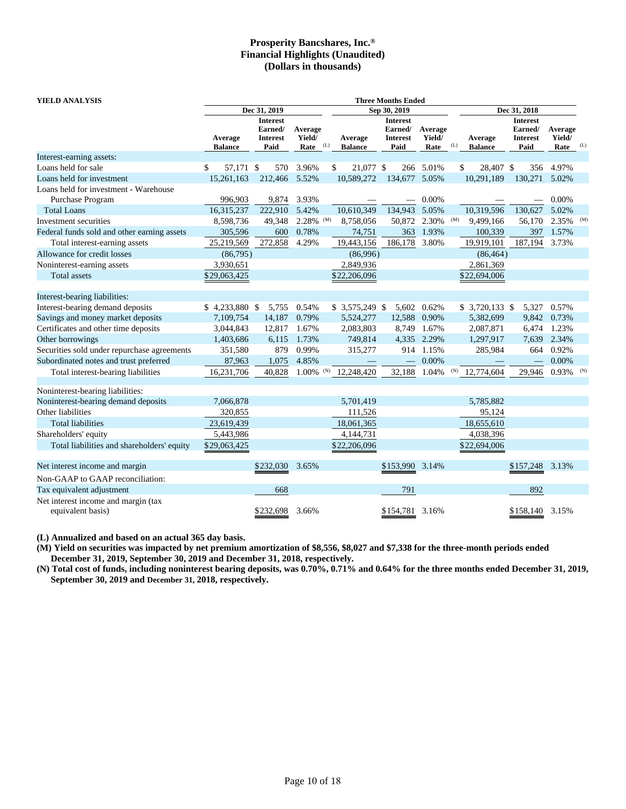| <b>YIELD ANALYSIS</b>                                    |                           |                                                       |                           |     |                           | <b>Three Months Ended</b>                             |                           |     |                           |                                                       |                           |     |
|----------------------------------------------------------|---------------------------|-------------------------------------------------------|---------------------------|-----|---------------------------|-------------------------------------------------------|---------------------------|-----|---------------------------|-------------------------------------------------------|---------------------------|-----|
|                                                          |                           | Dec 31, 2019                                          |                           |     |                           | Sep 30, 2019                                          |                           |     |                           | Dec 31, 2018                                          |                           |     |
|                                                          | Average<br><b>Balance</b> | <b>Interest</b><br>Earned/<br><b>Interest</b><br>Paid | Average<br>Yield/<br>Rate | (L) | Average<br><b>Balance</b> | <b>Interest</b><br>Earned/<br><b>Interest</b><br>Paid | Average<br>Yield/<br>Rate | (L) | Average<br><b>Balance</b> | <b>Interest</b><br>Earned/<br><b>Interest</b><br>Paid | Average<br>Yield/<br>Rate | (L) |
| Interest-earning assets:                                 |                           |                                                       |                           |     |                           |                                                       |                           |     |                           |                                                       |                           |     |
| Loans held for sale                                      | 57,171 \$<br>\$           | 570                                                   | 3.96%                     |     | 21,077 \$<br>\$           |                                                       | 266 5.01%                 |     | \$<br>28,407 \$           | 356                                                   | 4.97%                     |     |
| Loans held for investment                                | 15,261,163                | 212,466                                               | 5.52%                     |     | 10,589,272                | 134,677 5.05%                                         |                           |     | 10,291,189                | 130,271                                               | 5.02%                     |     |
| Loans held for investment - Warehouse                    |                           |                                                       |                           |     |                           |                                                       |                           |     |                           |                                                       |                           |     |
| Purchase Program                                         | 996,903                   | 9,874                                                 | 3.93%                     |     |                           |                                                       | 0.00%                     |     |                           |                                                       | 0.00%                     |     |
| <b>Total Loans</b>                                       | 16,315,237                | 222,910                                               | 5.42%                     |     | 10,610,349                | 134,943                                               | 5.05%                     |     | 10,319,596                | 130,627                                               | 5.02%                     |     |
| Investment securities                                    | 8,598,736                 | 49,348                                                | 2.28%                     | (M) | 8,758,056                 | 50,872                                                | 2.30%                     | (M) | 9,499,166                 | 56,170                                                | 2.35%                     | (M) |
| Federal funds sold and other earning assets              | 305,596                   | 600                                                   | 0.78%                     |     | 74,751                    | 363                                                   | 1.93%                     |     | 100,339                   | 397                                                   | 1.57%                     |     |
| Total interest-earning assets                            | 25,219,569                | 272,858                                               | 4.29%                     |     | 19,443,156                | 186,178                                               | 3.80%                     |     | 19,919,101                | 187,194                                               | 3.73%                     |     |
| Allowance for credit losses                              | (86,795)                  |                                                       |                           |     | (86,996)                  |                                                       |                           |     | (86, 464)                 |                                                       |                           |     |
| Noninterest-earning assets                               | 3,930,651                 |                                                       |                           |     | 2,849,936                 |                                                       |                           |     | 2,861,369                 |                                                       |                           |     |
| Total assets                                             | \$29,063,425              |                                                       |                           |     | \$22,206,096              |                                                       |                           |     | \$22,694,006              |                                                       |                           |     |
| Interest-bearing liabilities:                            |                           |                                                       |                           |     |                           |                                                       |                           |     |                           |                                                       |                           |     |
| Interest-bearing demand deposits                         | $$4,233,880$ \$           | 5,755                                                 | 0.54%                     |     | $$3,575,249$ \\$          |                                                       | 5,602 0.62%               |     | $$3,720,133$ \$           | 5,327                                                 | 0.57%                     |     |
| Savings and money market deposits                        | 7,109,754                 | 14,187                                                | 0.79%                     |     | 5,524,277                 | 12,588 0.90%                                          |                           |     | 5,382,699                 | 9,842                                                 | 0.73%                     |     |
| Certificates and other time deposits                     | 3,044,843                 | 12,817                                                | 1.67%                     |     | 2,083,803                 | 8,749                                                 | 1.67%                     |     | 2,087,871                 | 6,474                                                 | 1.23%                     |     |
| Other borrowings                                         | 1,403,686                 | 6,115                                                 | 1.73%                     |     | 749,814                   |                                                       | 4,335 2.29%               |     | 1,297,917                 | 7,639                                                 | 2.34%                     |     |
| Securities sold under repurchase agreements              | 351,580                   | 879                                                   | 0.99%                     |     | 315,277                   |                                                       | 914 1.15%                 |     | 285,984                   | 664                                                   | 0.92%                     |     |
| Subordinated notes and trust preferred                   | 87,963                    | 1,075                                                 | 4.85%                     |     |                           |                                                       | 0.00%                     |     |                           |                                                       | 0.00%                     |     |
| Total interest-bearing liabilities                       | 16,231,706                | 40,828                                                | $1.00\%$ <sup>(N)</sup>   |     | 12,248,420                | 32,188                                                | 1.04%                     | (N) | 12,774,604                | 29,946                                                | 0.93%                     | (N) |
| Noninterest-bearing liabilities:                         |                           |                                                       |                           |     |                           |                                                       |                           |     |                           |                                                       |                           |     |
| Noninterest-bearing demand deposits                      | 7,066,878                 |                                                       |                           |     | 5,701,419                 |                                                       |                           |     | 5,785,882                 |                                                       |                           |     |
| Other liabilities                                        | 320,855                   |                                                       |                           |     | 111,526                   |                                                       |                           |     | 95,124                    |                                                       |                           |     |
| <b>Total liabilities</b>                                 | 23,619,439                |                                                       |                           |     | 18,061,365                |                                                       |                           |     | 18,655,610                |                                                       |                           |     |
| Shareholders' equity                                     | 5,443,986                 |                                                       |                           |     | 4,144,731                 |                                                       |                           |     | 4,038,396                 |                                                       |                           |     |
| Total liabilities and shareholders' equity               | \$29,063,425              |                                                       |                           |     | \$22,206,096              |                                                       |                           |     | \$22,694,006              |                                                       |                           |     |
| Net interest income and margin                           |                           | \$232,030                                             | 3.65%                     |     |                           | \$153,990                                             | 3.14%                     |     |                           | \$157,248                                             | 3.13%                     |     |
| Non-GAAP to GAAP reconciliation:                         |                           |                                                       |                           |     |                           |                                                       |                           |     |                           |                                                       |                           |     |
| Tax equivalent adjustment                                |                           | 668                                                   |                           |     |                           | 791                                                   |                           |     |                           | 892                                                   |                           |     |
| Net interest income and margin (tax<br>equivalent basis) |                           | \$232,698                                             | 3.66%                     |     |                           | \$154,781 3.16%                                       |                           |     |                           | \$158,140                                             | 3.15%                     |     |

**(L) Annualized and based on an actual 365 day basis.**

**(M) Yield on securities was impacted by net premium amortization of \$8,556, \$8,027 and \$7,338 for the three-month periods ended December 31, 2019, September 30, 2019 and December 31, 2018, respectively.**

**(N) Total cost of funds, including noninterest bearing deposits, was 0.70%, 0.71% and 0.64% for the three months ended December 31, 2019, September 30, 2019 and December 31, 2018, respectively.**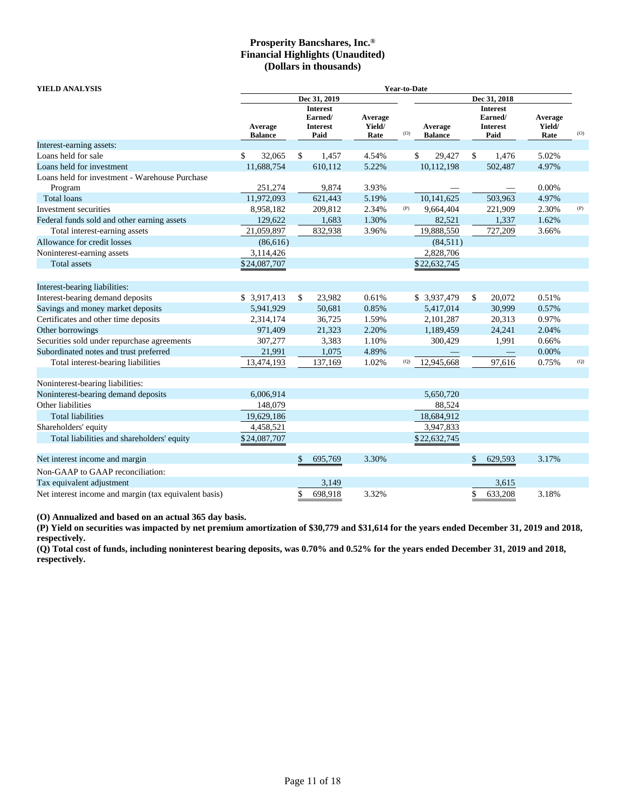| YIELD ANALYSIS                                            | Year-to-Date              |    |                                                       |                           |     |                           |    |                                                       |                           |     |  |
|-----------------------------------------------------------|---------------------------|----|-------------------------------------------------------|---------------------------|-----|---------------------------|----|-------------------------------------------------------|---------------------------|-----|--|
|                                                           |                           |    | Dec 31, 2019                                          |                           |     |                           |    | Dec 31, 2018                                          |                           |     |  |
|                                                           | Average<br><b>Balance</b> |    | <b>Interest</b><br>Earned/<br><b>Interest</b><br>Paid | Average<br>Yield/<br>Rate | (O) | Average<br><b>Balance</b> |    | <b>Interest</b><br>Earned/<br><b>Interest</b><br>Paid | Average<br>Yield/<br>Rate | (0) |  |
| Interest-earning assets:                                  |                           |    |                                                       |                           |     |                           |    |                                                       |                           |     |  |
| Loans held for sale                                       | \$<br>32,065              | \$ | 1,457                                                 | 4.54%                     |     | 29,427<br>\$              | \$ | 1,476                                                 | 5.02%                     |     |  |
| Loans held for investment                                 | 11,688,754                |    | 610,112                                               | 5.22%                     |     | 10,112,198                |    | 502,487                                               | 4.97%                     |     |  |
| Loans held for investment - Warehouse Purchase<br>Program | 251,274                   |    | 9,874                                                 | 3.93%                     |     |                           |    |                                                       | 0.00%                     |     |  |
| <b>Total loans</b>                                        | 11,972,093                |    | 621,443                                               | 5.19%                     |     | 10,141,625                |    | 503,963                                               | 4.97%                     |     |  |
| Investment securities                                     | 8,958,182                 |    | 209,812                                               | 2.34%                     | (P) | 9,664,404                 |    | 221,909                                               | 2.30%                     | (P) |  |
| Federal funds sold and other earning assets               | 129,622                   |    | 1,683                                                 | 1.30%                     |     | 82,521                    |    | 1,337                                                 | 1.62%                     |     |  |
| Total interest-earning assets                             | 21,059,897                |    | 832,938                                               | 3.96%                     |     | 19,888,550                |    | 727,209                                               | 3.66%                     |     |  |
| Allowance for credit losses                               | (86, 616)                 |    |                                                       |                           |     | (84,511)                  |    |                                                       |                           |     |  |
| Noninterest-earning assets                                | 3,114,426                 |    |                                                       |                           |     | 2,828,706                 |    |                                                       |                           |     |  |
| <b>Total</b> assets                                       | \$24,087,707              |    |                                                       |                           |     | \$22,632,745              |    |                                                       |                           |     |  |
| Interest-bearing liabilities:                             |                           |    |                                                       |                           |     |                           |    |                                                       |                           |     |  |
| Interest-bearing demand deposits                          | \$ 3,917,413              | \$ | 23,982                                                | 0.61%                     |     | \$ 3,937,479              | \$ | 20,072                                                | 0.51%                     |     |  |
| Savings and money market deposits                         | 5,941,929                 |    | 50,681                                                | 0.85%                     |     | 5,417,014                 |    | 30,999                                                | 0.57%                     |     |  |
| Certificates and other time deposits                      | 2,314,174                 |    | 36,725                                                | 1.59%                     |     | 2,101,287                 |    | 20,313                                                | 0.97%                     |     |  |
| Other borrowings                                          | 971,409                   |    | 21,323                                                | 2.20%                     |     | 1,189,459                 |    | 24,241                                                | 2.04%                     |     |  |
| Securities sold under repurchase agreements               | 307,277                   |    | 3,383                                                 | 1.10%                     |     | 300,429                   |    | 1,991                                                 | 0.66%                     |     |  |
| Subordinated notes and trust preferred                    | 21,991                    |    | 1,075                                                 | 4.89%                     |     |                           |    |                                                       | 0.00%                     |     |  |
| Total interest-bearing liabilities                        | 13,474,193                |    | 137,169                                               | 1.02%                     | (Q) | 12,945,668                |    | 97,616                                                | 0.75%                     | (Q) |  |
| Noninterest-bearing liabilities:                          |                           |    |                                                       |                           |     |                           |    |                                                       |                           |     |  |
| Noninterest-bearing demand deposits                       | 6,006,914                 |    |                                                       |                           |     | 5,650,720                 |    |                                                       |                           |     |  |
| Other liabilities                                         | 148,079                   |    |                                                       |                           |     | 88,524                    |    |                                                       |                           |     |  |
| <b>Total liabilities</b>                                  | 19,629,186                |    |                                                       |                           |     | 18,684,912                |    |                                                       |                           |     |  |
| Shareholders' equity                                      | 4,458,521                 |    |                                                       |                           |     | 3,947,833                 |    |                                                       |                           |     |  |
| Total liabilities and shareholders' equity                | \$24,087,707              |    |                                                       |                           |     | \$22,632,745              |    |                                                       |                           |     |  |
| Net interest income and margin                            |                           | S  | 695,769                                               | 3.30%                     |     |                           | \$ | 629,593                                               | 3.17%                     |     |  |
| Non-GAAP to GAAP reconciliation:                          |                           |    |                                                       |                           |     |                           |    |                                                       |                           |     |  |
| Tax equivalent adjustment                                 |                           |    | 3,149                                                 |                           |     |                           |    | 3,615                                                 |                           |     |  |
| Net interest income and margin (tax equivalent basis)     |                           | \$ | 698,918                                               | 3.32%                     |     |                           | \$ | 633,208                                               | 3.18%                     |     |  |

**(O) Annualized and based on an actual 365 day basis.**

**(P) Yield on securities was impacted by net premium amortization of \$30,779 and \$31,614 for the years ended December 31, 2019 and 2018, respectively.**

**(Q) Total cost of funds, including noninterest bearing deposits, was 0.70% and 0.52% for the years ended December 31, 2019 and 2018, respectively.**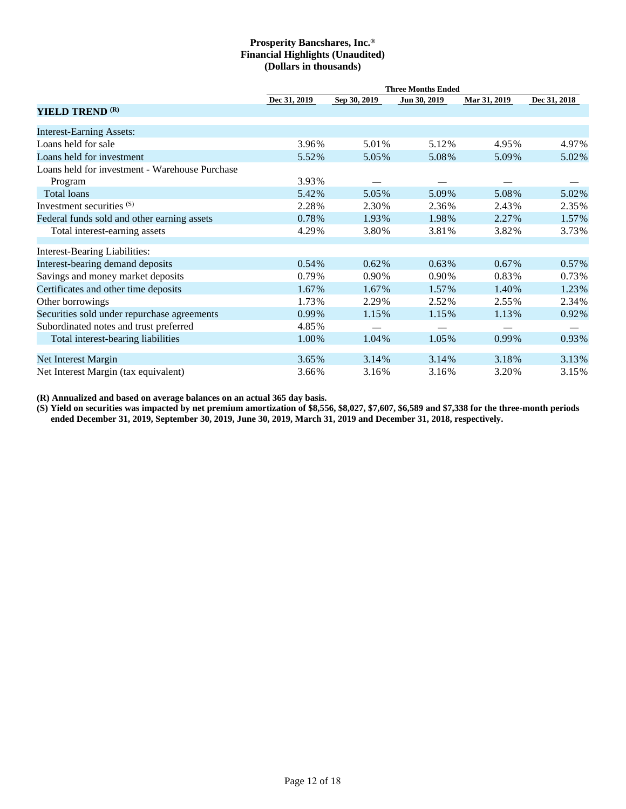|                                                | <b>Three Months Ended</b> |              |              |              |              |  |  |  |  |  |
|------------------------------------------------|---------------------------|--------------|--------------|--------------|--------------|--|--|--|--|--|
|                                                | Dec 31, 2019              | Sep 30, 2019 | Jun 30, 2019 | Mar 31, 2019 | Dec 31, 2018 |  |  |  |  |  |
| YIELD TREND <sup>(R)</sup>                     |                           |              |              |              |              |  |  |  |  |  |
| <b>Interest-Earning Assets:</b>                |                           |              |              |              |              |  |  |  |  |  |
| Loans held for sale                            | 3.96%                     | 5.01%        | 5.12%        | 4.95%        | 4.97%        |  |  |  |  |  |
| Loans held for investment                      | 5.52%                     | 5.05%        | 5.08%        | 5.09%        | 5.02%        |  |  |  |  |  |
| Loans held for investment - Warehouse Purchase |                           |              |              |              |              |  |  |  |  |  |
| Program                                        | 3.93%                     |              |              |              |              |  |  |  |  |  |
| <b>Total loans</b>                             | 5.42%                     | 5.05%        | 5.09%        | 5.08%        | 5.02%        |  |  |  |  |  |
| Investment securities (S)                      | 2.28%                     | 2.30%        | 2.36%        | 2.43%        | 2.35%        |  |  |  |  |  |
| Federal funds sold and other earning assets    | 0.78%                     | 1.93%        | 1.98%        | 2.27%        | 1.57%        |  |  |  |  |  |
| Total interest-earning assets                  | 4.29%                     | 3.80%        | 3.81%        | 3.82%        | 3.73%        |  |  |  |  |  |
| <b>Interest-Bearing Liabilities:</b>           |                           |              |              |              |              |  |  |  |  |  |
| Interest-bearing demand deposits               | 0.54%                     | 0.62%        | $0.63\%$     | $0.67\%$     | 0.57%        |  |  |  |  |  |
| Savings and money market deposits              | 0.79%                     | 0.90%        | 0.90%        | 0.83%        | 0.73%        |  |  |  |  |  |
| Certificates and other time deposits           | 1.67%                     | 1.67%        | 1.57%        | 1.40%        | 1.23%        |  |  |  |  |  |
| Other borrowings                               | 1.73%                     | 2.29%        | 2.52%        | 2.55%        | 2.34%        |  |  |  |  |  |
| Securities sold under repurchase agreements    | 0.99%                     | 1.15%        | 1.15%        | 1.13%        | 0.92%        |  |  |  |  |  |
| Subordinated notes and trust preferred         | 4.85%                     |              |              |              |              |  |  |  |  |  |
| Total interest-bearing liabilities             | 1.00%                     | 1.04%        | 1.05%        | 0.99%        | 0.93%        |  |  |  |  |  |
| Net Interest Margin                            | 3.65%                     | 3.14%        | 3.14%        | 3.18%        | 3.13%        |  |  |  |  |  |
| Net Interest Margin (tax equivalent)           | 3.66%                     | 3.16%        | 3.16%        | 3.20%        | 3.15%        |  |  |  |  |  |

**(R) Annualized and based on average balances on an actual 365 day basis.**

**(S) Yield on securities was impacted by net premium amortization of \$8,556, \$8,027, \$7,607, \$6,589 and \$7,338 for the three-month periods ended December 31, 2019, September 30, 2019, June 30, 2019, March 31, 2019 and December 31, 2018, respectively.**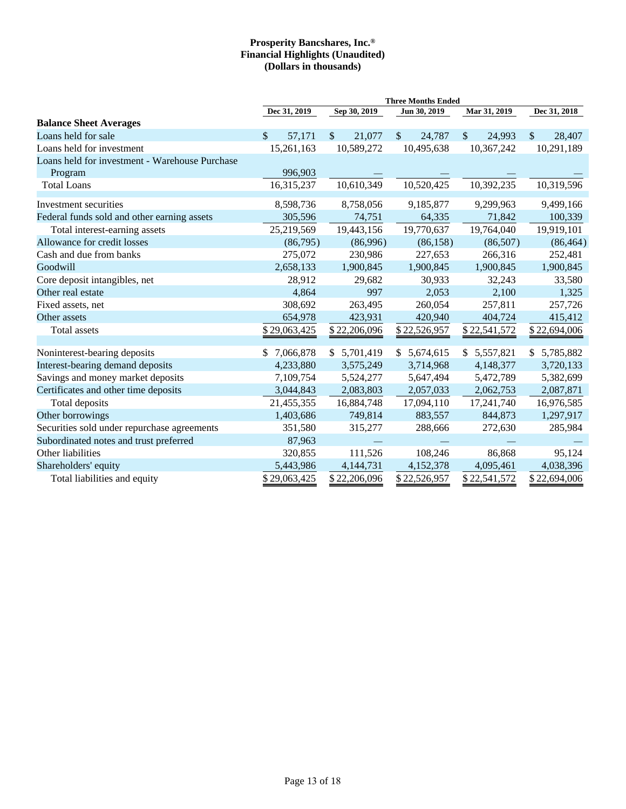|                                                | <b>Three Months Ended</b> |                        |                        |                        |                        |  |  |  |  |  |
|------------------------------------------------|---------------------------|------------------------|------------------------|------------------------|------------------------|--|--|--|--|--|
|                                                | Dec 31, 2019              | Sep 30, 2019           | Jun 30, 2019           | Mar 31, 2019           |                        |  |  |  |  |  |
| <b>Balance Sheet Averages</b>                  |                           |                        |                        |                        |                        |  |  |  |  |  |
| Loans held for sale                            | \$.<br>57,171             | $\mathbb{S}$<br>21,077 | $\mathbb{S}$<br>24,787 | $\mathbb{S}$<br>24,993 | $\mathbb{S}$<br>28,407 |  |  |  |  |  |
| Loans held for investment                      | 15,261,163                | 10,589,272             | 10,495,638             | 10,367,242             | 10,291,189             |  |  |  |  |  |
| Loans held for investment - Warehouse Purchase |                           |                        |                        |                        |                        |  |  |  |  |  |
| Program                                        | 996,903                   |                        |                        |                        |                        |  |  |  |  |  |
| <b>Total Loans</b>                             | 16,315,237                | 10,610,349             | 10,520,425             | 10,392,235             | 10,319,596             |  |  |  |  |  |
| Investment securities                          | 8,598,736                 | 8,758,056              | 9,185,877              | 9,299,963              | 9,499,166              |  |  |  |  |  |
| Federal funds sold and other earning assets    | 305,596                   | 74,751                 | 64,335                 | 71,842                 | 100,339                |  |  |  |  |  |
| Total interest-earning assets                  | 25,219,569                | 19,443,156             | 19,770,637             | 19,764,040             | 19,919,101             |  |  |  |  |  |
| Allowance for credit losses                    | (86,795)                  | (86,996)               | (86, 158)              | (86,507)               | (86, 464)              |  |  |  |  |  |
| Cash and due from banks                        | 275,072                   | 230,986                | 227,653                | 266,316                | 252,481                |  |  |  |  |  |
| Goodwill                                       | 2,658,133                 | 1,900,845              | 1,900,845              | 1,900,845              | 1,900,845              |  |  |  |  |  |
| Core deposit intangibles, net                  | 28,912                    | 29,682                 | 30,933                 | 32,243                 | 33,580                 |  |  |  |  |  |
| Other real estate                              | 4,864                     | 997                    | 2,053                  | 2,100                  | 1,325                  |  |  |  |  |  |
| Fixed assets, net                              | 308,692                   | 263,495                | 260,054                | 257,811                | 257,726                |  |  |  |  |  |
| Other assets                                   | 654,978                   | 423,931                | 420,940                | 404,724                | 415,412                |  |  |  |  |  |
| Total assets                                   | \$29,063,425              | \$22,206,096           | \$22,526,957           | \$22,541,572           | \$22,694,006           |  |  |  |  |  |
|                                                |                           |                        |                        |                        |                        |  |  |  |  |  |
| Noninterest-bearing deposits                   | 7,066,878<br>\$.          | \$5,701,419            | 5,674,615<br>\$        | \$5,557,821            | 5,785,882<br>\$        |  |  |  |  |  |
| Interest-bearing demand deposits               | 4,233,880                 | 3,575,249              | 3,714,968              | 4,148,377              | 3,720,133              |  |  |  |  |  |
| Savings and money market deposits              | 7,109,754                 | 5,524,277              | 5,647,494              | 5,472,789              | 5,382,699              |  |  |  |  |  |
| Certificates and other time deposits           | 3,044,843                 | 2,083,803              | 2,057,033              | 2,062,753              | 2,087,871              |  |  |  |  |  |
| Total deposits                                 | 21,455,355                | 16,884,748             | 17,094,110             | 17,241,740             | 16,976,585             |  |  |  |  |  |
| Other borrowings                               | 1,403,686                 | 749,814                | 883,557                | 844,873                | 1,297,917              |  |  |  |  |  |
| Securities sold under repurchase agreements    | 351,580                   | 315,277                | 288,666                | 272,630                | 285,984                |  |  |  |  |  |
| Subordinated notes and trust preferred         | 87,963                    |                        |                        |                        |                        |  |  |  |  |  |
| Other liabilities                              | 320,855                   | 111,526                | 108,246                | 86,868                 | 95,124                 |  |  |  |  |  |
| Shareholders' equity                           | 5,443,986                 | 4,144,731              | 4,152,378              | 4,095,461              | 4,038,396              |  |  |  |  |  |
| Total liabilities and equity                   | \$29,063,425              | \$22,206,096           | \$22,526,957           | \$22,541,572           | \$22,694,006           |  |  |  |  |  |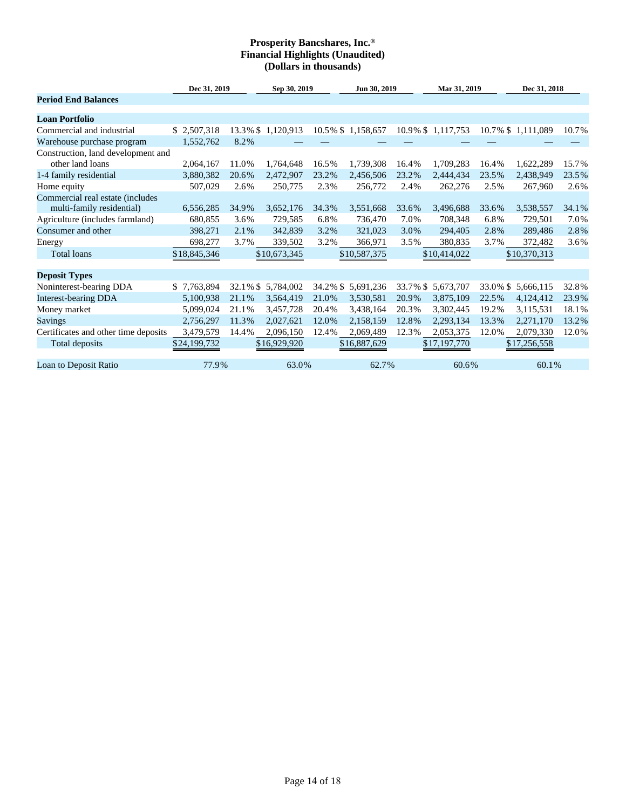|                                                        | Dec 31, 2019 |             | Sep 30, 2019       |          | Jun 30, 2019      |       | Mar 31, 2019       |          | Dec 31, 2018      |       |
|--------------------------------------------------------|--------------|-------------|--------------------|----------|-------------------|-------|--------------------|----------|-------------------|-------|
| <b>Period End Balances</b>                             |              |             |                    |          |                   |       |                    |          |                   |       |
| <b>Loan Portfolio</b>                                  |              |             |                    |          |                   |       |                    |          |                   |       |
| Commercial and industrial                              | \$2,507,318  |             | 13.3% \$ 1,120,913 |          | 10.5% \$1,158,657 |       | 10.9% \$1,117,753  |          | 10.7% \$1,111,089 | 10.7% |
| Warehouse purchase program                             | 1,552,762    | 8.2%        |                    |          |                   |       |                    |          |                   |       |
| Construction, land development and<br>other land loans | 2,064,167    | 11.0%       | 1,764,648          | 16.5%    | 1,739,308         | 16.4% | 1,709,283          | 16.4%    | 1,622,289         | 15.7% |
|                                                        | 3,880,382    | 20.6%       | 2,472,907          | 23.2%    | 2,456,506         | 23.2% | 2,444,434          | 23.5%    | 2,438,949         | 23.5% |
| 1-4 family residential<br>Home equity                  | 507,029      | 2.6%        | 250,775            | 2.3%     | 256,772           | 2.4%  | 262,276            | 2.5%     | 267,960           | 2.6%  |
| Commercial real estate (includes                       |              |             |                    |          |                   |       |                    |          |                   |       |
| multi-family residential)                              | 6,556,285    | 34.9%       | 3,652,176          | 34.3%    | 3,551,668         | 33.6% | 3,496,688          | 33.6%    | 3,538,557         | 34.1% |
| Agriculture (includes farmland)                        | 680,855      | 3.6%        | 729,585            | 6.8%     | 736,470           | 7.0%  | 708,348            | 6.8%     | 729,501           | 7.0%  |
| Consumer and other                                     | 398,271      | 2.1%        | 342,839            | 3.2%     | 321,023           | 3.0%  | 294,405            | 2.8%     | 289,486           | 2.8%  |
| Energy                                                 | 698,277      | 3.7%        | 339,502            | 3.2%     | 366,971           | 3.5%  | 380,835            | 3.7%     | 372,482           | 3.6%  |
| <b>Total loans</b>                                     | \$18,845,346 |             | \$10,673,345       |          | \$10,587,375      |       | \$10,414,022       |          | \$10,370,313      |       |
|                                                        |              |             |                    |          |                   |       |                    |          |                   |       |
| <b>Deposit Types</b>                                   |              |             |                    |          |                   |       |                    |          |                   |       |
| Noninterest-bearing DDA                                | \$7,763,894  | $32.1\%$ \$ | 5,784,002          | 34.2% \$ | 5,691,236         |       | 33.7% \$ 5,673,707 | 33.0% \$ | 5,666,115         | 32.8% |
| <b>Interest-bearing DDA</b>                            | 5,100,938    | 21.1%       | 3,564,419          | 21.0%    | 3,530,581         | 20.9% | 3,875,109          | 22.5%    | 4,124,412         | 23.9% |
| Money market                                           | 5,099,024    | 21.1%       | 3,457,728          | 20.4%    | 3,438,164         | 20.3% | 3,302,445          | 19.2%    | 3,115,531         | 18.1% |
| <b>Savings</b>                                         | 2,756,297    | 11.3%       | 2,027,621          | 12.0%    | 2,158,159         | 12.8% | 2,293,134          | 13.3%    | 2,271,170         | 13.2% |
| Certificates and other time deposits                   | 3,479,579    | 14.4%       | 2,096,150          | 12.4%    | 2,069,489         | 12.3% | 2,053,375          | 12.0%    | 2,079,330         | 12.0% |
| Total deposits                                         | \$24,199,732 |             | \$16,929,920       |          | \$16,887,629      |       | \$17,197,770       |          | \$17,256,558      |       |
|                                                        |              |             |                    |          |                   |       |                    |          |                   |       |
| Loan to Deposit Ratio                                  | 77.9%        |             | 63.0%              |          | 62.7%             |       | 60.6%              |          | 60.1%             |       |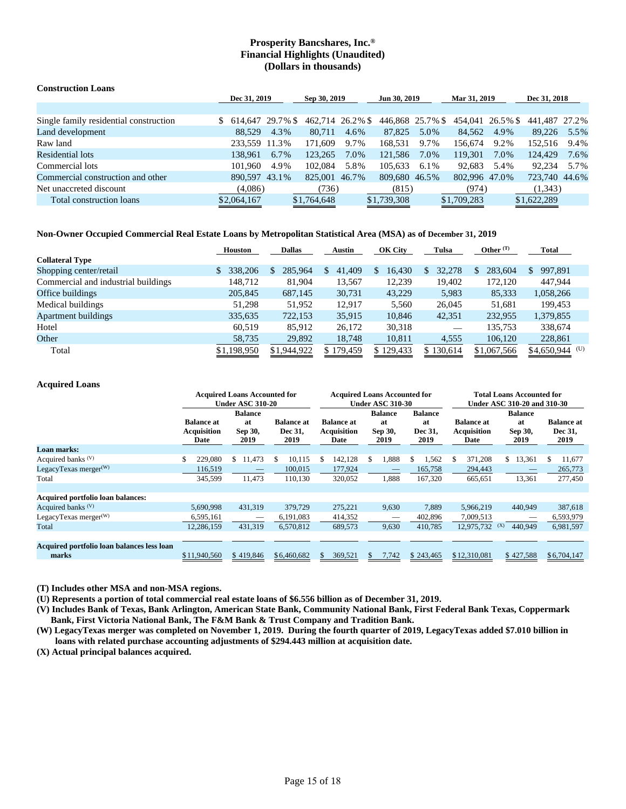| <b>Construction Loans</b>              |                  |              |                  |              |                  |              |                  |      |               |      |
|----------------------------------------|------------------|--------------|------------------|--------------|------------------|--------------|------------------|------|---------------|------|
|                                        |                  | Dec 31, 2019 |                  | Sep 30, 2019 |                  | Jun 30, 2019 | Mar 31, 2019     |      | Dec 31, 2018  |      |
|                                        |                  |              |                  |              |                  |              |                  |      |               |      |
| Single family residential construction | $$614.64729.7\%$ |              | 462,714 26.2% \$ |              | 446,868 25.7% \$ |              | 454,041 26.5% \$ |      | 441.487 27.2% |      |
| Land development                       | 88.529           | 4.3%         | 80,711           | 4.6%         | 87,825           | 5.0%         | 84,562           | 4.9% | 89.226        | 5.5% |
| Raw land                               | 233.559 11.3%    |              | 171.609          | 9.7%         | 168.531          | 9.7%         | 156,674          | 9.2% | 152.516       | 9.4% |
| Residential lots                       | 138.961          | 6.7%         | 123.265          | 7.0%         | 121.586          | 7.0%         | 119.301          | 7.0% | 124,429       | 7.6% |
| Commercial lots                        | 101.960          | 4.9%         | 102.084          | 5.8%         | 105.633          | 6.1%         | 92.683           | 5.4% | 92.234        | 5.7% |
| Commercial construction and other      | 890.597 43.1%    |              | 825,001 46.7%    |              | 809.680 46.5%    |              | 802.996 47.0%    |      | 723,740 44.6% |      |
| Net unaccreted discount                | (4,086)          |              | (736)            |              | (815)            |              | (974)            |      | (1,343)       |      |
| Total construction loans               | \$2,064,167      |              | \$1,764,648      |              | \$1,739,308      |              | \$1,709,283      |      | \$1,622,289   |      |

### **Non-Owner Occupied Commercial Real Estate Loans by Metropolitan Statistical Area (MSA) as of December 31, 2019**

|                                     | <b>Houston</b> | <b>Dallas</b>             | Austin       | <b>OK City</b> | Tulsa     | Other $(T)$ | Total            |
|-------------------------------------|----------------|---------------------------|--------------|----------------|-----------|-------------|------------------|
| <b>Collateral Type</b>              |                |                           |              |                |           |             |                  |
| Shopping center/retail              | 338,206        | 285,964<br>$\mathbb{S}^-$ | 41,409<br>S. | 16,430         | 32,278    | 283,604     | 997,891<br>S.    |
| Commercial and industrial buildings | 148,712        | 81,904                    | 13,567       | 12,239         | 19,402    | 172.120     | 447,944          |
| Office buildings                    | 205,845        | 687,145                   | 30,731       | 43,229         | 5,983     | 85,333      | 1,058,266        |
| Medical buildings                   | 51.298         | 51,952                    | 12.917       | 5.560          | 26,045    | 51,681      | 199,453          |
| <b>Apartment buildings</b>          | 335,635        | 722,153                   | 35,915       | 10,846         | 42,351    | 232,955     | 1,379,855        |
| Hotel                               | 60.519         | 85,912                    | 26,172       | 30,318         |           | 135.753     | 338,674          |
| Other                               | 58,735         | 29,892                    | 18,748       | 10,811         | 4,555     | 106,120     | 228,861          |
| Total                               | \$1,198,950    | \$1,944,922               | \$179,459    | \$129,433      | \$130,614 | \$1,067,566 | $$4,650,944$ (U) |

### **Acquired Loans**

|                                                     |                                                 | <b>Acquired Loans Accounted for</b><br><b>Under ASC 310-20</b> |                                      |                                                 | <b>Acquired Loans Accounted for</b><br><b>Under ASC 310-30</b> |                       | <b>Total Loans Accounted for</b><br>Under ASC 310-20 and 310-30 |                       |                                      |  |  |  |  |
|-----------------------------------------------------|-------------------------------------------------|----------------------------------------------------------------|--------------------------------------|-------------------------------------------------|----------------------------------------------------------------|-----------------------|-----------------------------------------------------------------|-----------------------|--------------------------------------|--|--|--|--|
|                                                     |                                                 | <b>Balance</b>                                                 |                                      |                                                 | <b>Balance</b>                                                 | <b>Balance</b>        |                                                                 | <b>Balance</b>        |                                      |  |  |  |  |
|                                                     | <b>Balance at</b><br><b>Acquisition</b><br>Date | at<br>Sep 30,<br>2019                                          | <b>Balance</b> at<br>Dec 31,<br>2019 | <b>Balance at</b><br><b>Acquisition</b><br>Date | at<br>Sep 30,<br>2019                                          | at<br>Dec 31,<br>2019 | <b>Balance at</b><br><b>Acquisition</b><br>Date                 | at<br>Sep 30,<br>2019 | <b>Balance at</b><br>Dec 31,<br>2019 |  |  |  |  |
| Loan marks:                                         |                                                 |                                                                |                                      |                                                 |                                                                |                       |                                                                 |                       |                                      |  |  |  |  |
| Acquired banks <sup>(V)</sup>                       | 229,080                                         | \$11,473                                                       | \$<br>10,115                         | 142,128                                         | 1,888<br>\$                                                    | 1,562<br>S            | 371,208<br>-\$                                                  | 13,361<br>\$          | \$<br>11,677                         |  |  |  |  |
| LegacyTexas merger $(W)$                            | 116,519                                         |                                                                | 100,015                              | 177,924                                         |                                                                | 165,758               | 294,443                                                         |                       | 265,773                              |  |  |  |  |
| Total                                               | 345,599                                         | 11,473                                                         | 110,130                              | 320,052                                         | 1,888                                                          | 167,320               | 665,651                                                         | 13,361                | 277,450                              |  |  |  |  |
|                                                     |                                                 |                                                                |                                      |                                                 |                                                                |                       |                                                                 |                       |                                      |  |  |  |  |
| <b>Acquired portfolio loan balances:</b>            |                                                 |                                                                |                                      |                                                 |                                                                |                       |                                                                 |                       |                                      |  |  |  |  |
| Acquired banks <sup>(V)</sup>                       | 5.690.998                                       | 431,319                                                        | 379,729                              | 275,221                                         | 9,630                                                          | 7.889                 | 5,966,219                                                       | 440,949               | 387,618                              |  |  |  |  |
| LegacyTexas merger $(W)$                            | 6,595,161                                       | —                                                              | 6,191,083                            | 414,352                                         |                                                                | 402,896               | 7,009,513                                                       |                       | 6,593,979                            |  |  |  |  |
| Total                                               | 12,286,159                                      | 431,319                                                        | 6,570,812                            | 689,573                                         | 9,630                                                          | 410.785               | 12.975.732                                                      | (X)<br>440.949        | 6,981,597                            |  |  |  |  |
|                                                     |                                                 |                                                                |                                      |                                                 |                                                                |                       |                                                                 |                       |                                      |  |  |  |  |
| Acquired portfolio loan balances less loan<br>marks | \$11,940,560                                    | \$419,846                                                      | \$6,460,682                          | 369,521                                         | 7,742<br>\$.                                                   | \$243,465             | \$12,310,081                                                    | \$427,588             | \$6,704,147                          |  |  |  |  |

**(T) Includes other MSA and non-MSA regions.**

**(U) Represents a portion of total commercial real estate loans of \$6.556 billion as of December 31, 2019.**

**(V) Includes Bank of Texas, Bank Arlington, American State Bank, Community National Bank, First Federal Bank Texas, Coppermark Bank, First Victoria National Bank, The F&M Bank & Trust Company and Tradition Bank.**

**(W) LegacyTexas merger was completed on November 1, 2019. During the fourth quarter of 2019, LegacyTexas added \$7.010 billion in loans with related purchase accounting adjustments of \$294.443 million at acquisition date.**

**(X) Actual principal balances acquired.**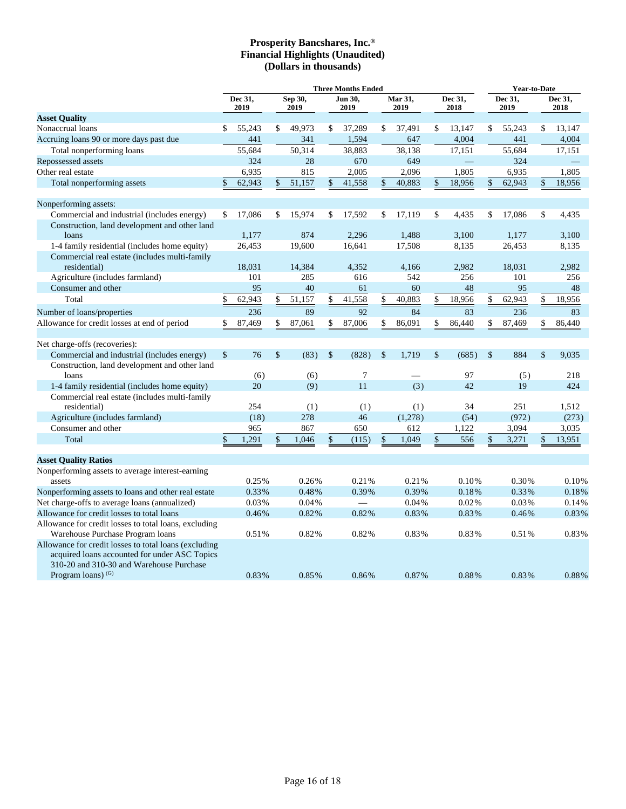|                                                                                                                                                                                     | <b>Three Months Ended</b> |                 |               |                 |              |                 |    |                 |                           |                 | <b>Year-to-Date</b> |                 |                    |                 |
|-------------------------------------------------------------------------------------------------------------------------------------------------------------------------------------|---------------------------|-----------------|---------------|-----------------|--------------|-----------------|----|-----------------|---------------------------|-----------------|---------------------|-----------------|--------------------|-----------------|
|                                                                                                                                                                                     |                           | Dec 31,<br>2019 |               | Sep 30,<br>2019 |              | Jun 30.<br>2019 |    | Mar 31,<br>2019 |                           | Dec 31,<br>2018 |                     | Dec 31.<br>2019 |                    | Dec 31,<br>2018 |
| <b>Asset Quality</b>                                                                                                                                                                |                           |                 |               |                 |              |                 |    |                 |                           |                 |                     |                 |                    |                 |
| Nonaccrual loans                                                                                                                                                                    | \$                        | 55,243          | \$            | 49,973          | \$           | 37,289          | \$ | 37,491          | \$                        | 13,147          | \$                  | 55.243          | \$                 | 13.147          |
| Accruing loans 90 or more days past due                                                                                                                                             |                           | 441             |               | 341             |              | 1,594           |    | 647             |                           | 4,004           |                     | 441             |                    | 4,004           |
| Total nonperforming loans                                                                                                                                                           |                           | 55.684          |               | 50,314          |              | 38,883          |    | 38,138          |                           | 17,151          |                     | 55.684          |                    | 17,151          |
| Repossessed assets                                                                                                                                                                  |                           | 324             |               | 28              |              | 670             |    | 649             |                           |                 |                     | 324             |                    |                 |
| Other real estate                                                                                                                                                                   |                           | 6,935           |               | 815             |              | 2,005           |    | 2,096           |                           | 1,805           |                     | 6,935           |                    | 1,805           |
| Total nonperforming assets                                                                                                                                                          | \$                        | 62,943          | \$            | 51,157          | \$           | 41,558          | \$ | 40,883          | \$                        | 18,956          | \$                  | 62,943          | \$                 | 18,956          |
| Nonperforming assets:                                                                                                                                                               |                           |                 |               |                 |              |                 |    |                 |                           |                 |                     |                 |                    |                 |
| Commercial and industrial (includes energy)                                                                                                                                         | \$                        | 17,086          | \$            | 15,974          | \$           | 17,592          | \$ | 17,119          | \$                        | 4,435           | \$                  | 17,086          | \$                 | 4,435           |
| Construction, land development and other land<br>loans                                                                                                                              |                           | 1,177           |               | 874             |              | 2,296           |    | 1,488           |                           | 3.100           |                     | 1,177           |                    | 3,100           |
| 1-4 family residential (includes home equity)                                                                                                                                       |                           | 26,453          |               | 19,600          |              | 16,641          |    | 17,508          |                           | 8,135           |                     | 26,453          |                    | 8,135           |
| Commercial real estate (includes multi-family<br>residential)                                                                                                                       |                           | 18,031          |               | 14,384          |              | 4,352           |    | 4,166           |                           | 2,982           |                     | 18,031          |                    | 2,982           |
| Agriculture (includes farmland)                                                                                                                                                     |                           | 101             |               | 285             |              | 616             |    | 542             |                           | 256             |                     | 101             |                    | 256             |
| Consumer and other                                                                                                                                                                  |                           | 95              |               | 40              |              | 61              |    | 60              |                           | 48              |                     | 95              |                    | 48              |
| Total                                                                                                                                                                               | \$                        | 62,943          | \$            | 51,157          | \$           | 41,558          | \$ | 40,883          | \$                        | 18,956          | \$                  | 62,943          | \$                 | 18,956          |
| Number of loans/properties                                                                                                                                                          |                           | 236             |               | 89              |              | 92              |    | 84              |                           | 83              |                     | 236             |                    | 83              |
| Allowance for credit losses at end of period                                                                                                                                        | \$                        | 87,469          | \$            | 87,061          | \$           | 87,006          | \$ | 86,091          | \$                        | 86,440          | \$                  | 87,469          | \$                 | 86,440          |
| Net charge-offs (recoveries):                                                                                                                                                       |                           |                 |               |                 |              |                 |    |                 |                           |                 |                     |                 |                    |                 |
| Commercial and industrial (includes energy)                                                                                                                                         | $\mathcal{S}$             | 76              | $\mathsf{\$}$ | (83)            | $\mathbb{S}$ | (828)           | \$ | 1,719           | $\boldsymbol{\mathsf{S}}$ | (685)           | $\mathsf{\$}$       | 884             | $\mathbf{\hat{S}}$ | 9,035           |
| Construction, land development and other land<br>loans                                                                                                                              |                           | (6)             |               | (6)             |              | $\tau$          |    |                 |                           | 97              |                     | (5)             |                    | 218             |
| 1-4 family residential (includes home equity)                                                                                                                                       |                           | 20              |               | (9)             |              | 11              |    | (3)             |                           | 42              |                     | 19              |                    | 424             |
| Commercial real estate (includes multi-family<br>residential)                                                                                                                       |                           | 254             |               | (1)             |              | (1)             |    | (1)             |                           | 34              |                     | 251             |                    | 1,512           |
| Agriculture (includes farmland)                                                                                                                                                     |                           | (18)            |               | 278             |              | 46              |    | (1,278)         |                           | (54)            |                     | (972)           |                    | (273)           |
| Consumer and other                                                                                                                                                                  |                           | 965             |               | 867             |              | 650             |    | 612             |                           | 1,122           |                     | 3,094           |                    | 3,035           |
| Total                                                                                                                                                                               | \$                        | 1,291           | \$            | 1,046           | \$           | (115)           | \$ | 1,049           | \$                        | 556             | \$                  | 3,271           | \$                 | 13,951          |
| <b>Asset Quality Ratios</b>                                                                                                                                                         |                           |                 |               |                 |              |                 |    |                 |                           |                 |                     |                 |                    |                 |
| Nonperforming assets to average interest-earning<br>assets                                                                                                                          |                           | 0.25%           |               | 0.26%           |              | 0.21%           |    | 0.21%           |                           | 0.10%           |                     | 0.30%           |                    | 0.10%           |
| Nonperforming assets to loans and other real estate                                                                                                                                 |                           | 0.33%           |               | 0.48%           |              | 0.39%           |    | 0.39%           |                           | 0.18%           |                     | 0.33%           |                    | 0.18%           |
| Net charge-offs to average loans (annualized)                                                                                                                                       |                           | $0.03\,\%$      |               | 0.04%           |              |                 |    | 0.04%           |                           | 0.02%           |                     | 0.03%           |                    | 0.14%           |
| Allowance for credit losses to total loans                                                                                                                                          |                           | 0.46%           |               | 0.82%           |              | 0.82%           |    | 0.83%           |                           | 0.83%           |                     | 0.46%           |                    | 0.83%           |
| Allowance for credit losses to total loans, excluding                                                                                                                               |                           |                 |               |                 |              |                 |    |                 |                           |                 |                     |                 |                    |                 |
| Warehouse Purchase Program loans                                                                                                                                                    |                           | 0.51%           |               | 0.82%           |              | 0.82%           |    | 0.83%           |                           | 0.83%           |                     | 0.51%           |                    | 0.83%           |
| Allowance for credit losses to total loans (excluding<br>acquired loans accounted for under ASC Topics<br>310-20 and 310-30 and Warehouse Purchase<br>Program loans) <sup>(G)</sup> |                           | 0.83%           |               | 0.85%           |              | 0.86%           |    | 0.87%           |                           | 0.88%           |                     | 0.83%           |                    | 0.88%           |
|                                                                                                                                                                                     |                           |                 |               |                 |              |                 |    |                 |                           |                 |                     |                 |                    |                 |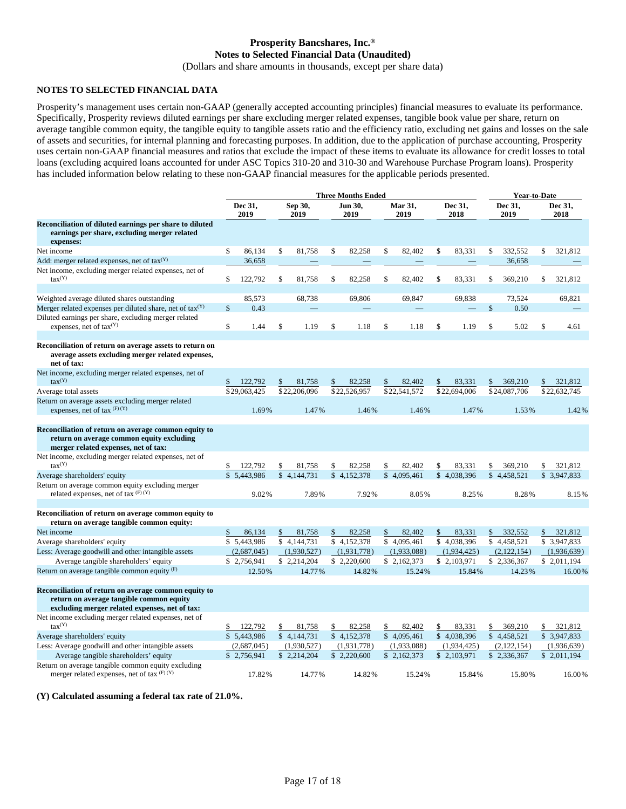# **Prosperity Bancshares, Inc.® Notes to Selected Financial Data (Unaudited)**

(Dollars and share amounts in thousands, except per share data)

### **NOTES TO SELECTED FINANCIAL DATA**

Prosperity's management uses certain non-GAAP (generally accepted accounting principles) financial measures to evaluate its performance. Specifically, Prosperity reviews diluted earnings per share excluding merger related expenses, tangible book value per share, return on average tangible common equity, the tangible equity to tangible assets ratio and the efficiency ratio, excluding net gains and losses on the sale of assets and securities, for internal planning and forecasting purposes. In addition, due to the application of purchase accounting, Prosperity uses certain non-GAAP financial measures and ratios that exclude the impact of these items to evaluate its allowance for credit losses to total loans (excluding acquired loans accounted for under ASC Topics 310-20 and 310-30 and Warehouse Purchase Program loans). Prosperity has included information below relating to these non-GAAP financial measures for the applicable periods presented.

|                                                                                                                                                    | <b>Three Months Ended</b> |              |                 |              |                 |              |              |                 |                 | <b>Year-to-Date</b> |                 |              |                 |              |
|----------------------------------------------------------------------------------------------------------------------------------------------------|---------------------------|--------------|-----------------|--------------|-----------------|--------------|--------------|-----------------|-----------------|---------------------|-----------------|--------------|-----------------|--------------|
|                                                                                                                                                    | Dec 31,<br>2019           |              | Sep 30,<br>2019 |              | Jun 30,<br>2019 |              |              | Mar 31,<br>2019 | Dec 31,<br>2018 |                     | Dec 31,<br>2019 |              | Dec 31,<br>2018 |              |
| Reconciliation of diluted earnings per share to diluted<br>earnings per share, excluding merger related<br>expenses:                               |                           |              |                 |              |                 |              |              |                 |                 |                     |                 |              |                 |              |
| Net income                                                                                                                                         | \$                        | 86,134       | \$              | 81,758       | \$              | 82,258       | \$           | 82,402          | \$              | 83,331              | \$              | 332,552      | \$              | 321,812      |
| Add: merger related expenses, net of $\text{tax}(Y)$                                                                                               |                           | 36,658       |                 |              |                 |              |              |                 |                 |                     |                 | 36,658       |                 |              |
| Net income, excluding merger related expenses, net of<br>$\text{tax}^{(Y)}$                                                                        | \$                        | 122,792      | \$              | 81,758       | \$              | 82,258       | \$           | 82,402          | \$              | 83,331              | \$              | 369,210      | \$              | 321,812      |
| Weighted average diluted shares outstanding                                                                                                        |                           | 85,573       |                 | 68,738       |                 | 69,806       |              | 69,847          |                 | 69,838              |                 | 73.524       |                 | 69,821       |
| Merger related expenses per diluted share, net of $\text{tax}(Y)$                                                                                  | \$                        | 0.43         |                 |              |                 |              |              |                 |                 |                     | \$              | 0.50         |                 |              |
| Diluted earnings per share, excluding merger related<br>expenses, net of $\text{tax}^{(Y)}$                                                        | \$                        | 1.44         | \$              | 1.19         | \$              | 1.18         | \$           | 1.18            | \$              | 1.19                | \$              | 5.02         | \$              | 4.61         |
| Reconciliation of return on average assets to return on<br>average assets excluding merger related expenses,<br>net of tax:                        |                           |              |                 |              |                 |              |              |                 |                 |                     |                 |              |                 |              |
| Net income, excluding merger related expenses, net of<br>$\text{tax}^{(Y)}$                                                                        |                           | 122,792      | \$              | 81,758       | \$              | 82,258       | \$           | 82,402          | \$              | 83,331              | \$              | 369,210      |                 | 321,812      |
| Average total assets                                                                                                                               |                           | \$29,063,425 |                 | \$22,206,096 |                 | \$22,526,957 |              | \$22,541,572    |                 | \$22,694,006        |                 | \$24,087,706 |                 | \$22,632,745 |
| Return on average assets excluding merger related<br>expenses, net of tax $(F)$ $(Y)$                                                              |                           | 1.69%        |                 | 1.47%        |                 | 1.46%        |              | 1.46%           |                 | 1.47%               |                 | 1.53%        |                 | 1.42%        |
| Reconciliation of return on average common equity to<br>return on average common equity excluding<br>merger related expenses, net of tax:          |                           |              |                 |              |                 |              |              |                 |                 |                     |                 |              |                 |              |
| Net income, excluding merger related expenses, net of<br>$\text{tax}^{(Y)}$                                                                        | \$                        | 122,792      | \$              | 81,758       | \$              | 82,258       | \$           | 82,402          | \$              | 83,331              | \$              | 369,210      | \$              | 321,812      |
| Average shareholders' equity                                                                                                                       |                           | \$5,443,986  |                 | \$4,144,731  |                 | \$4,152,378  | $\mathbb{S}$ | 4,095,461       |                 | \$4,038,396         |                 | \$4,458,521  |                 | \$ 3,947,833 |
| Return on average common equity excluding merger<br>related expenses, net of tax $(F)$ $(Y)$                                                       |                           | 9.02%        |                 | 7.89%        |                 | 7.92%        |              | 8.05%           |                 | 8.25%               |                 | 8.28%        |                 | 8.15%        |
| Reconciliation of return on average common equity to<br>return on average tangible common equity:                                                  |                           |              |                 |              |                 |              |              |                 |                 |                     |                 |              |                 |              |
| Net income                                                                                                                                         | \$                        | 86,134       | \$              | 81,758       | \$              | 82,258       | \$           | 82,402          | \$              | 83,331              | \$              | 332,552      | \$              | 321,812      |
| Average shareholders' equity                                                                                                                       |                           | \$5,443,986  |                 | \$4.144.731  |                 | \$4.152.378  |              | \$4,095,461     |                 | \$4,038,396         |                 | \$4,458,521  |                 | \$3,947,833  |
| Less: Average goodwill and other intangible assets                                                                                                 |                           | (2,687,045)  |                 | (1,930,527)  |                 | (1,931,778)  |              | (1,933,088)     |                 | (1,934,425)         |                 | (2,122,154)  |                 | (1,936,639)  |
| Average tangible shareholders' equity                                                                                                              |                           | \$2.756.941  |                 | \$2,214,204  |                 | \$2.220,600  |              | \$2,162,373     |                 | \$2,103,971         |                 | \$2,336,367  |                 | \$2.011.194  |
| Return on average tangible common equity $(F)$                                                                                                     |                           | 12.50%       |                 | 14.77%       |                 | 14.82%       |              | 15.24%          |                 | 15.84%              |                 | 14.23%       |                 | 16.00%       |
| Reconciliation of return on average common equity to<br>return on average tangible common equity<br>excluding merger related expenses, net of tax: |                           |              |                 |              |                 |              |              |                 |                 |                     |                 |              |                 |              |
| Net income excluding merger related expenses, net of<br>$\text{tax}^{(\text{Y})}$                                                                  | \$                        | 122,792      | \$              | 81,758       | \$              | 82,258       |              | 82,402          | \$              | 83,331              |                 | 369,210      | \$              | 321,812      |
| Average shareholders' equity                                                                                                                       |                           | \$5,443,986  |                 | \$4,144,731  |                 | \$4,152,378  |              | \$4,095,461     |                 | \$4,038,396         |                 | \$4,458,521  |                 | \$3,947,833  |
| Less: Average goodwill and other intangible assets                                                                                                 |                           | (2,687,045)  |                 | (1,930,527)  |                 | (1,931,778)  |              | (1,933,088)     |                 | (1,934,425)         |                 | (2,122,154)  |                 | (1,936,639)  |
| Average tangible shareholders' equity                                                                                                              |                           | \$2,756,941  |                 | \$2,214,204  | \$              | 2,220,600    |              | \$2,162,373     |                 | \$2,103,971         |                 | \$2,336,367  |                 | \$2,011,194  |
| Return on average tangible common equity excluding<br>merger related expenses, net of tax $(F)$ $(Y)$                                              |                           | 17.82%       |                 | 14.77%       |                 | 14.82%       |              | 15.24%          |                 | 15.84%              |                 | 15.80%       |                 | 16.00%       |

**(Y) Calculated assuming a federal tax rate of 21.0%.**